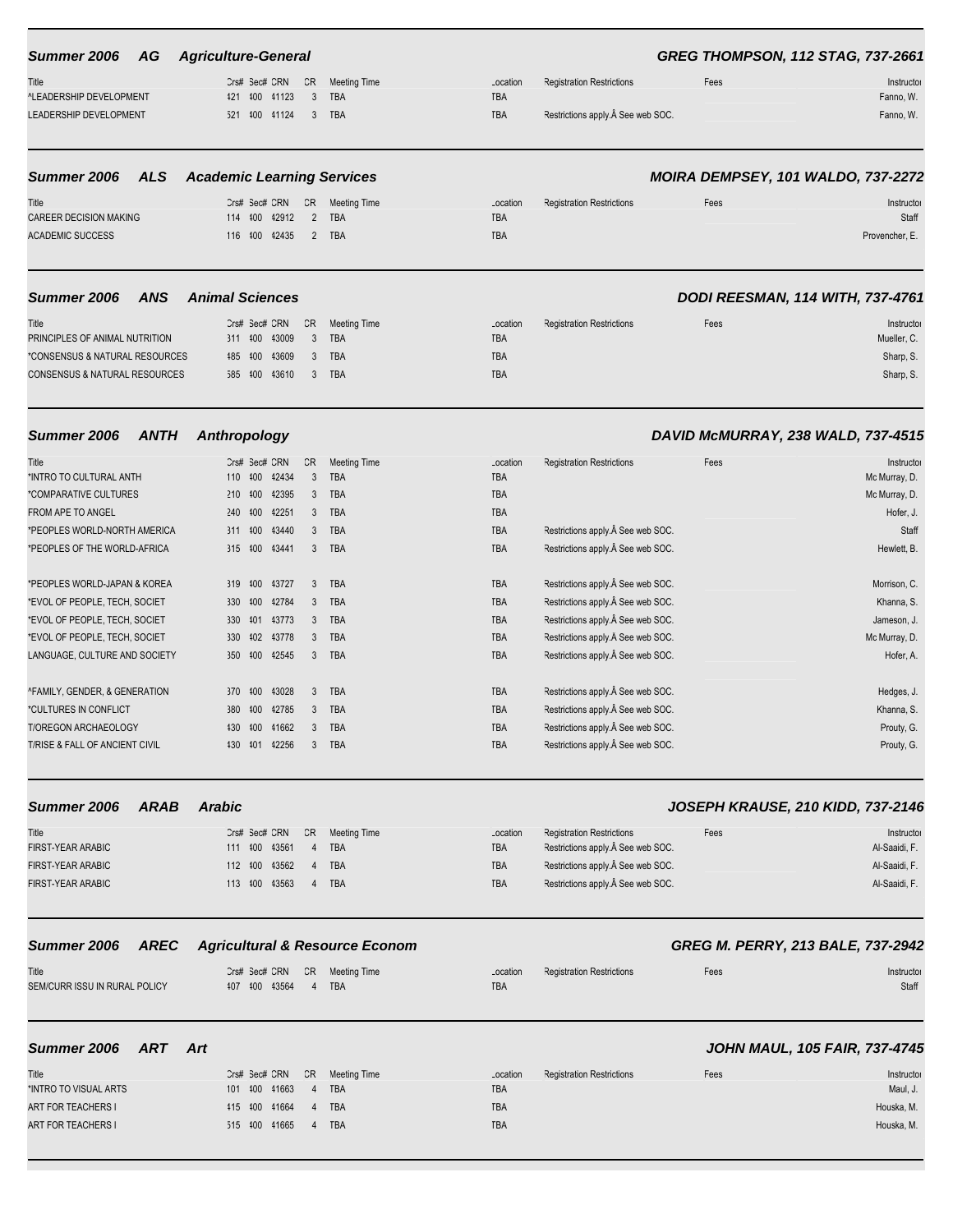### **Summer 2006 AG Agriculture-General GREG THOMPSON, 112 STAG, 737-2661**

| Title                   | Crs# Sec# CRN CR Meeting Time |  | Location | <b>Registration Restrictions</b> | ${{\text -}}{\text{ees}}$ | Instructor |
|-------------------------|-------------------------------|--|----------|----------------------------------|---------------------------|------------|
| ^LEADERSHIP DEVELOPMENT | 121 100 11123 3 TBA           |  | TBA      |                                  |                           | Fanno, W.  |
| LEADERSHIP DEVELOPMENT  | 521 400 41124 3 TBA           |  | TBA      | Restrictions apply. See web SOC. |                           | Fanno, W.  |

# ^LEADERSHIP DEVELOPMENT 421 400 41123 3 TBA LEADERSHIP DEVELOPMENT 521 400 41124 3 TBA

# **Summer 2006 ALS Academic Learning Services MOIRA DEMPSEY, 101 WALDO, 737-2272** Title Crs# Sec# CRN CR Meeting Time

CAREER DECISION MAKING 114 400 42912 2 TBA ACADEMIC SUCCESS 116 400 42435 2 TBA

| .ocation  | <b>Registration Restrictions</b> | Fees | Instructor     |
|-----------|----------------------------------|------|----------------|
| <b>BA</b> |                                  |      | Staff          |
| <b>BA</b> |                                  |      | Provencher, E. |
|           |                                  |      |                |

# **Summer 2006 ANS Animal Sciences DODI REESMAN, 114 WITH, 737-4761** Title Crs# Sec# CRN CR Meeting Time Location Registration Restrictions Fees Fees Instructor PRINCIPLES OF ANIMAL NUTRITION 311 400 43009 3 TBA TBA Mueller, C. \*CONSENSUS & NATURAL RESOURCES 485 400 43609 3 TBA TBA Sharp, S. CONSENSUS & NATURAL RESOURCES 585 400 43610 3 TBA TBA Sharp, S. CONSENSUS & NATURAL RESOURCES 585 400 43610 3 TBA

| Title                          |         | Crs# Sec# CRN |       | CR            | <b>Meeting Time</b> | Location   | <b>Registration Restrictions</b> | Fees | Instructor    |
|--------------------------------|---------|---------------|-------|---------------|---------------------|------------|----------------------------------|------|---------------|
| *INTRO TO CULTURAL ANTH        | 110 400 |               | 42434 |               | <b>TBA</b>          | <b>TBA</b> |                                  |      | Mc Murray, D. |
| *COMPARATIVE CULTURES          | 210     | 400           | 42395 | 3             | <b>TBA</b>          | <b>TBA</b> |                                  |      | Mc Murray, D. |
| <b>FROM APE TO ANGEL</b>       | 240     | 400           | 42251 |               | <b>TBA</b>          | <b>TBA</b> |                                  |      | Hofer, J.     |
| *PEOPLES WORLD-NORTH AMERICA   | 311 400 |               | 43440 | $\mathcal{R}$ | <b>TBA</b>          | <b>TBA</b> | Restrictions apply. See web SOC. |      | Staff         |
| *PEOPLES OF THE WORLD-AFRICA   | 315 400 |               | 43441 | 3             | <b>TBA</b>          | <b>TBA</b> | Restrictions apply. See web SOC. |      | Hewlett, B.   |
|                                |         |               |       |               |                     |            |                                  |      |               |
| *PEOPLES WORLD-JAPAN & KOREA   | 319     | 400           | 43727 | 3             | <b>TBA</b>          | <b>TBA</b> | Restrictions apply. See web SOC. |      | Morrison, C.  |
| *EVOL OF PEOPLE, TECH, SOCIET  | 330     | 400           | 42784 | 3             | <b>TBA</b>          | <b>TBA</b> | Restrictions apply. See web SOC. |      | Khanna, S.    |
| *EVOL OF PEOPLE, TECH, SOCIET  | 330     | 401           | 43773 | 3             | <b>TBA</b>          | <b>TBA</b> | Restrictions apply. See web SOC. |      | Jameson, J.   |
| *EVOL OF PEOPLE, TECH, SOCIET  | 330     | 102           | 43778 | $\mathcal{R}$ | <b>TBA</b>          | <b>TBA</b> | Restrictions apply. See web SOC. |      | Mc Murray, D. |
| LANGUAGE, CULTURE AND SOCIETY  | 350     | 100           | 42545 | 3             | <b>TBA</b>          | <b>TBA</b> | Restrictions apply. See web SOC. |      | Hofer, A.     |
|                                |         |               |       |               |                     |            |                                  |      |               |
| ^FAMILY, GENDER, & GENERATION  | 370     | 400           | 43028 | $\mathcal{R}$ | <b>TBA</b>          | <b>TBA</b> | Restrictions apply. See web SOC. |      | Hedges, J.    |
| *CULTURES IN CONFLICT          | 380     | 400           | 42785 | 3             | <b>TBA</b>          | <b>TBA</b> | Restrictions apply. See web SOC. |      | Khanna, S.    |
| <b>T/OREGON ARCHAEOLOGY</b>    | 430     | 400           | 41662 | 3             | <b>TBA</b>          | <b>TBA</b> | Restrictions apply. See web SOC. |      | Prouty, G.    |
| T/RISE & FALL OF ANCIENT CIVIL | 430     | 401           | 42256 |               | <b>TBA</b>          | <b>TBA</b> | Restrictions apply. See web SOC. |      | Prouty, G.    |
|                                |         |               |       |               |                     |            |                                  |      |               |

### **Summer 2006 ARAB Arabic JOSEPH KRAUSE, 210 KIDD, 737-2146**

### Title Crs# Sec# CRN CR Meeting Time Location Registration Restrictions Fees Fees Instructor Instructor FIRST-YEAR ARABIC **111 1200 43561 4 TBA TBA TBA TBA** TBA Restrictions apply. See web SOC. Al-Saaidi, F. FIRST-YEAR ARABIC 112 100 43562 4 TBA TBA TBA Restrictions apply. A See web SOC. Al-Saaidi, F. FIRST-YEAR ARABIC **113 400 43563 4 TBA TBA TBA Restrictions apply.** A Gee web SOC. Al-Saaidi, F.

# **Summer 2006 AREC Agricultural & Resource Econom GREG M. PERRY, 213 BALE, 737-2942**

| Title                         |                 | Crs# Sec# CRN CR Meeting Time |     | Location Registration Restrictions | -ees | Instructor |
|-------------------------------|-----------------|-------------------------------|-----|------------------------------------|------|------------|
| SEM/CURR ISSU IN RURAL POLICY | 407 400 43564 4 | <b>TBA</b>                    | TBA |                                    |      | Staff      |
|                               |                 |                               |     |                                    |      |            |

| Title                     |  |                     | Crs# Sec# CRN CR Meeting Time |
|---------------------------|--|---------------------|-------------------------------|
| *INTRO TO VISUAL ARTS     |  | 101 400 41663 4 TBA |                               |
| <b>ART FOR TEACHERS I</b> |  | 415 400 41664 4 TBA |                               |
| ART FOR TEACHERS I        |  | 515 400 41665 4 TBA |                               |

### **Summer 2006 ART Art JOHN MAUL, 105 FAIR, 737-4745**

| Title<br>*INTRO TO VISUAL ARTS |  | 101 400 41663 4 TBA | Crs# Sec# CRN CR Meeting Time | Location<br>TBA | <b>Registration Restrictions</b> | Fees | Instructor<br>Maul, J. |
|--------------------------------|--|---------------------|-------------------------------|-----------------|----------------------------------|------|------------------------|
| <b>ART FOR TEACHERS I</b>      |  | 415 400 41664 4 TBA |                               | TBA             |                                  |      | Houska, M.             |
| <b>ART FOR TEACHERS I</b>      |  | 515 400 41665 4 TBA |                               | TBA             |                                  |      | Houska, M.             |
|                                |  |                     |                               |                 |                                  |      |                        |

# **Summer 2006 ANTH Anthropology DAVID McMURRAY, 238 WALD, 737-4515**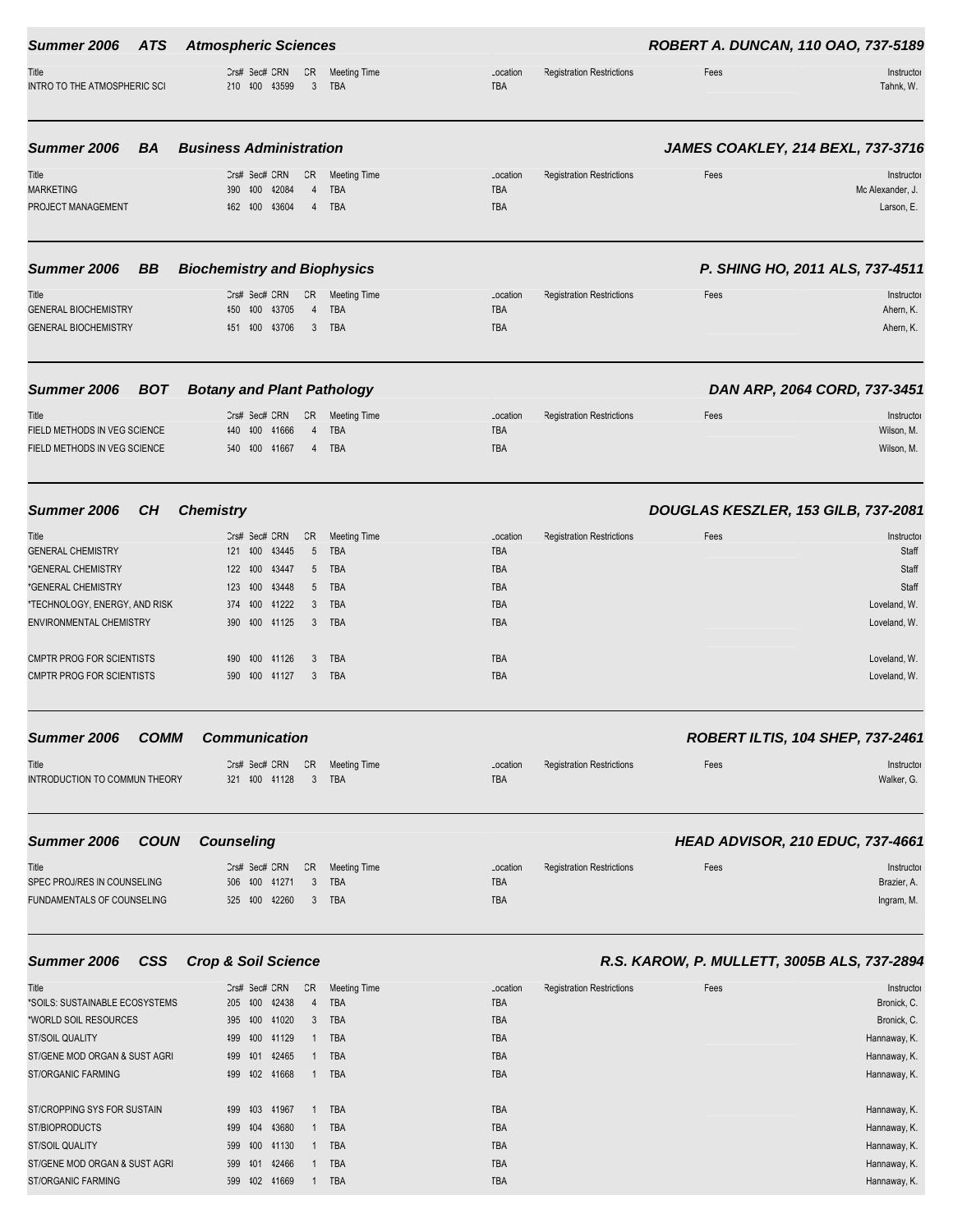| Summer 2006<br>ATS                                                                                                                                                                                                | <b>Atmospheric Sciences</b>                                                                                                                                                                              |                                                                                                         |                                                                                                            |                                  | ROBERT A. DUNCAN, 110 OAO, 737-5189         |                                                                                                       |
|-------------------------------------------------------------------------------------------------------------------------------------------------------------------------------------------------------------------|----------------------------------------------------------------------------------------------------------------------------------------------------------------------------------------------------------|---------------------------------------------------------------------------------------------------------|------------------------------------------------------------------------------------------------------------|----------------------------------|---------------------------------------------|-------------------------------------------------------------------------------------------------------|
| Title<br>INTRO TO THE ATMOSPHERIC SCI                                                                                                                                                                             | Crs# Sec# CRN<br>CR<br>3<br>210 100 13599                                                                                                                                                                | <b>Meeting Time</b><br><b>TBA</b>                                                                       | Location<br>TBA                                                                                            | <b>Registration Restrictions</b> | Fees                                        | Instructor<br>Tahnk, W.                                                                               |
| Summer 2006<br>BA                                                                                                                                                                                                 | <b>Business Administration</b>                                                                                                                                                                           |                                                                                                         |                                                                                                            |                                  |                                             | JAMES COAKLEY, 214 BEXL, 737-3716                                                                     |
| Title<br><b>MARKETING</b><br>PROJECT MANAGEMENT                                                                                                                                                                   | CR<br>Crs# Sec# CRN<br>390 400 42084<br>$\overline{4}$<br>43604<br>162 100<br>4                                                                                                                          | <b>Meeting Time</b><br>TBA<br><b>TBA</b>                                                                | Location<br><b>TBA</b><br><b>TBA</b>                                                                       | <b>Registration Restrictions</b> | Fees                                        | Instructor<br>Mc Alexander, J.<br>Larson, E.                                                          |
| Summer 2006<br>BB                                                                                                                                                                                                 | <b>Biochemistry and Biophysics</b>                                                                                                                                                                       |                                                                                                         |                                                                                                            |                                  |                                             | P. SHING HO, 2011 ALS, 737-4511                                                                       |
| Title<br><b>GENERAL BIOCHEMISTRY</b><br><b>GENERAL BIOCHEMISTRY</b>                                                                                                                                               | CR<br>Crs# Sec# CRN<br>43705<br>450<br>400<br>$\overline{4}$<br>451 400 43706<br>3                                                                                                                       | <b>Meeting Time</b><br><b>TBA</b><br><b>TBA</b>                                                         | Location<br><b>TBA</b><br>TBA                                                                              | <b>Registration Restrictions</b> | Fees                                        | Instructor<br>Ahern, K.<br>Ahern, K.                                                                  |
| Summer 2006<br><b>BOT</b>                                                                                                                                                                                         | <b>Botany and Plant Pathology</b>                                                                                                                                                                        |                                                                                                         |                                                                                                            |                                  |                                             | DAN ARP, 2064 CORD, 737-3451                                                                          |
| Title<br>FIELD METHODS IN VEG SCIENCE<br>FIELD METHODS IN VEG SCIENCE                                                                                                                                             | Crs# Sec# CRN<br>CR<br>440 400<br>41666<br>4<br>540 400 41667<br>4                                                                                                                                       | <b>Meeting Time</b><br><b>TBA</b><br><b>TBA</b>                                                         | Location<br><b>TBA</b><br><b>TBA</b>                                                                       | <b>Registration Restrictions</b> | Fees                                        | Instructor<br>Wilson, M.<br>Wilson, M.                                                                |
| Summer 2006<br>CH                                                                                                                                                                                                 | <b>Chemistry</b>                                                                                                                                                                                         |                                                                                                         |                                                                                                            |                                  | DOUGLAS KESZLER, 153 GILB, 737-2081         |                                                                                                       |
| Title<br><b>GENERAL CHEMISTRY</b><br>*GENERAL CHEMISTRY<br>*GENERAL CHEMISTRY<br>*TECHNOLOGY, ENERGY, AND RISK<br><b>ENVIRONMENTAL CHEMISTRY</b><br>CMPTR PROG FOR SCIENTISTS<br><b>CMPTR PROG FOR SCIENTISTS</b> | Crs# Sec# CRN<br>CR<br>43445<br>5<br>121 400<br>122 100<br>43447<br>5<br>123 400<br>43448<br>5<br>374 100<br>41222<br>3<br>400<br>390<br>41125<br>3<br>490<br>400<br>41126<br>3<br>590 400<br>41127<br>3 | <b>Meeting Time</b><br><b>TBA</b><br><b>TBA</b><br>TBA<br>TBA<br><b>TBA</b><br><b>TBA</b><br><b>TBA</b> | Location<br><b>TBA</b><br><b>TBA</b><br><b>TBA</b><br><b>TBA</b><br><b>TBA</b><br><b>TBA</b><br><b>TBA</b> | <b>Registration Restrictions</b> | Fees                                        | Instructor<br>Staff<br>Staff<br>Staff<br>Loveland, W.<br>Loveland, W.<br>Loveland, W.<br>Loveland, W. |
| <b>COMM</b><br>Summer 2006                                                                                                                                                                                        | <b>Communication</b>                                                                                                                                                                                     |                                                                                                         |                                                                                                            |                                  |                                             | ROBERT ILTIS, 104 SHEP, 737-2461                                                                      |
| Title<br>INTRODUCTION TO COMMUN THEORY                                                                                                                                                                            | CR<br>Crs# Sec# CRN<br>3<br>321 400 41128                                                                                                                                                                | <b>Meeting Time</b><br>TBA                                                                              | Location<br><b>TBA</b>                                                                                     | <b>Registration Restrictions</b> | Fees                                        | Instructor<br>Walker, G.                                                                              |
| Summer 2006<br><b>COUN</b>                                                                                                                                                                                        | <b>Counseling</b>                                                                                                                                                                                        |                                                                                                         |                                                                                                            |                                  |                                             | HEAD ADVISOR, 210 EDUC, 737-4661                                                                      |
| Title<br>SPEC PROJ/RES IN COUNSELING<br>FUNDAMENTALS OF COUNSELING                                                                                                                                                | CR<br>Crs# Sec# CRN<br>100<br>41271<br>3<br>506<br>525 400 42260<br>3                                                                                                                                    | <b>Meeting Time</b><br>TBA<br>TBA                                                                       | Location<br><b>TBA</b><br>TBA                                                                              | <b>Registration Restrictions</b> | Fees                                        | Instructor<br>Brazier, A.<br>Ingram, M.                                                               |
| Summer 2006<br><b>CSS</b>                                                                                                                                                                                         | <b>Crop &amp; Soil Science</b>                                                                                                                                                                           |                                                                                                         |                                                                                                            |                                  | R.S. KAROW, P. MULLETT, 3005B ALS, 737-2894 |                                                                                                       |
| Title<br>*SOILS: SUSTAINABLE ECOSYSTEMS<br>*WORLD SOIL RESOURCES<br><b>ST/SOIL QUALITY</b><br>ST/GENE MOD ORGAN & SUST AGRI<br>ST/ORGANIC FARMING                                                                 | Crs# Sec# CRN<br>CR<br>205 400<br>42438<br>$\overline{4}$<br>395 400 41020<br>3<br>499 400 41129<br>$\mathbf{1}$<br>42465<br>499<br>401<br>199 102 11668<br>$\mathbf{1}$                                 | <b>Meeting Time</b><br>TBA<br>TBA<br><b>TBA</b><br>TBA<br>TBA                                           | Location<br><b>TBA</b><br>TBA<br>TBA<br>TBA<br>TBA                                                         | <b>Registration Restrictions</b> | Fees                                        | Instructor<br>Bronick, C.<br>Bronick, C.<br>Hannaway, K.<br>Hannaway, K.<br>Hannaway, K.              |

ST/CROPPING SYS FOR SUSTAIN 499 403 41967 1 TBA TBA Hannaway, K. ST/BIOPRODUCTS 499 404 43680 1 TBA TBA Hannaway, K. ST/SOIL QUALITY 599 400 41130 1 TBA TBA Hannaway, K. ST/GENE MOD ORGAN & SUST AGRI 599 401 42466 1 TBA TBA TBA TBA TBA TBA TBA TBA TGENE AGRI 2007 A Hannaway, K. ST/ORGANIC FARMING 599 402 41669 1 TBA TBA Hannaway, K.

|                              | <b>Utility LOVU DUT DURITY GIN I KIK I GUIUIUGY</b> |                                              |      | $P_{H1}$ , $P_{H2}$ , $P_{H2}$ , $P_{H2}$ , $P_{H2}$ , $P_{H2}$ |
|------------------------------|-----------------------------------------------------|----------------------------------------------|------|-----------------------------------------------------------------|
| Title                        | Crs# Sec# CRN CR Meeting Time                       | <b>Registration Restrictions</b><br>Location | Fees | Instructor                                                      |
| FIELD METHODS IN VEG SCIENCE | 41666<br><b>TBA</b><br>440 400                      | <b>TBA</b>                                   |      | Wilson, M.                                                      |
| FIELD METHODS IN VEG SCIENCE | 540 100 11667<br><b>TBA</b>                         | <b>TBA</b>                                   |      | Wilson, M.                                                      |

| "itle                        | Crs# Sec# CRN CR Meeting Time | <b>Registration Restrictions</b><br>Location<br>Fees | Instructor |
|------------------------------|-------------------------------|------------------------------------------------------|------------|
| NTRODUCTION TO COMMUN THEORY | 321 400 41128 3 TBA           | <b>TBA</b>                                           | Walker, G. |
|                              |                               |                                                      |            |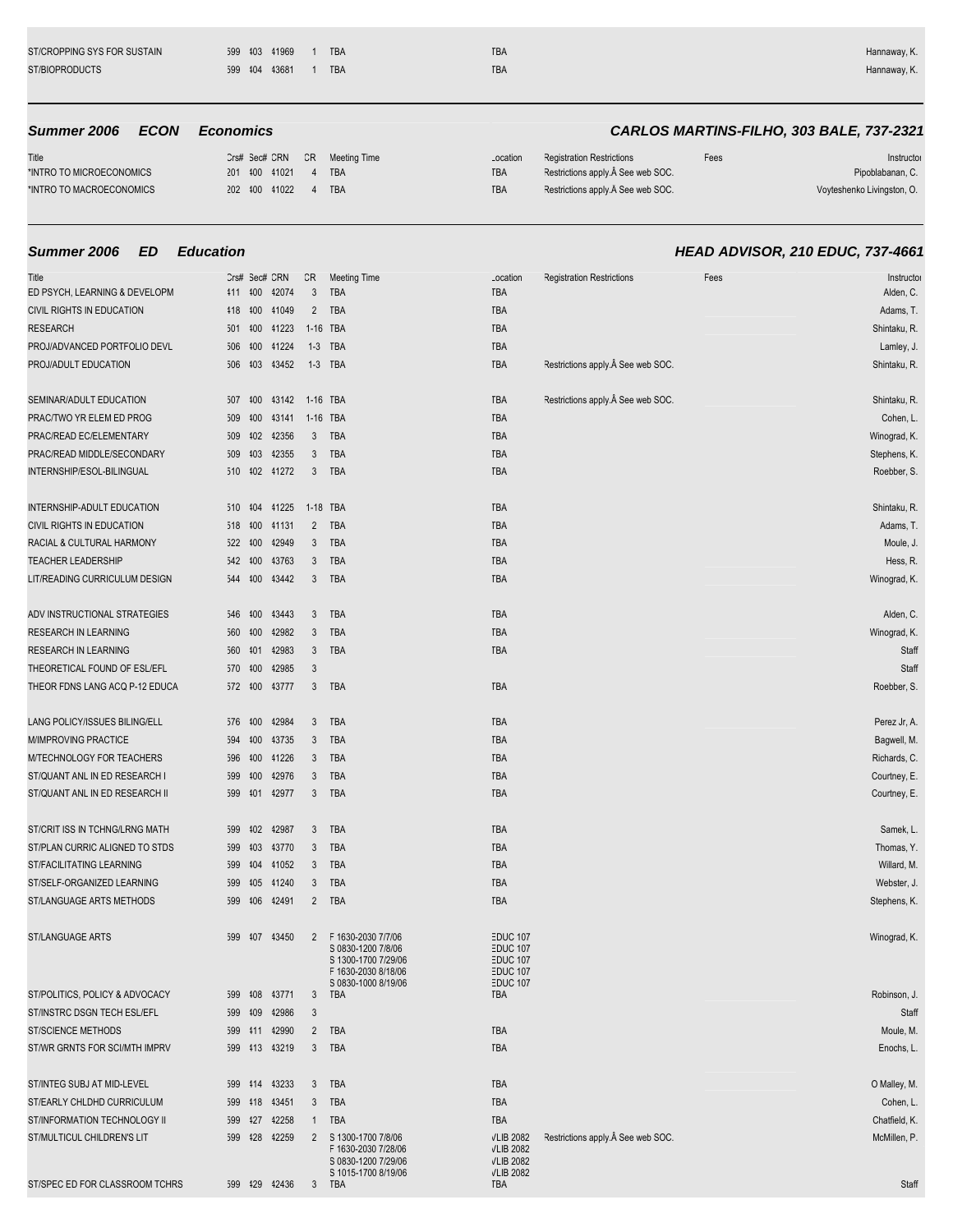| 599 104 13681<br><b>TBA</b><br><b>TBA</b> | ST/CROPPING SYS FOR SUSTAIN | 599 103 11969 |  | <b>TBA</b> | <b>TBA</b> | Hannaway, K. |
|-------------------------------------------|-----------------------------|---------------|--|------------|------------|--------------|
|                                           | ST/BIOPRODUCTS              |               |  |            |            | Hannaway, K. |

| Title                    |               |  | Crs# Sec# CRN CR Meeting Time | Location   | <b>Registration Restrictions</b>   | Fees | Instructor                 |
|--------------------------|---------------|--|-------------------------------|------------|------------------------------------|------|----------------------------|
| *INTRO TO MICROECONOMICS | 201 400 41021 |  | 4 TBA                         | <b>TBA</b> | Restrictions apply. Â See web SOC. |      | Pipoblabanan, C.           |
| *INTRO TO MACROECONOMICS | 202 400 41022 |  | <b>TBA</b>                    | TBA        | Restrictions apply. Â See web SOC. |      | Voyteshenko Livingston, O. |

| Title                          |     |         | Crs# Sec# CRN | CR             | <b>Meeting Time</b>                                                                    | Location                                                          | <b>Registration Restrictions</b>   | Fees | Instructo     |
|--------------------------------|-----|---------|---------------|----------------|----------------------------------------------------------------------------------------|-------------------------------------------------------------------|------------------------------------|------|---------------|
| ED PSYCH, LEARNING & DEVELOPM  | 411 | 400     | 42074         | 3              | <b>TBA</b>                                                                             | TBA                                                               |                                    |      | Alden, C.     |
| CIVIL RIGHTS IN EDUCATION      | 118 | 100     | 41049         | $\overline{2}$ | TBA                                                                                    | TBA                                                               |                                    |      | Adams, T.     |
| <b>RESEARCH</b>                |     | 501 400 | 41223         |                | 1-16 TBA                                                                               | TBA                                                               |                                    |      | Shintaku, R.  |
| PROJ/ADVANCED PORTFOLIO DEVL   | 506 | 400     | 41224         |                | 1-3 TBA                                                                                | TBA                                                               |                                    |      | Lamley, J     |
| PROJ/ADULT EDUCATION           |     | 506 403 | 43452         |                | 1-3 TBA                                                                                | TBA                                                               | Restrictions apply. See web SOC.   |      | Shintaku, R   |
| SEMINAR/ADULT EDUCATION        | 507 | 400     | 43142         | 1-16 TBA       |                                                                                        | TBA                                                               | Restrictions apply. See web SOC.   |      | Shintaku, R   |
| PRAC/TWO YR ELEM ED PROG       | 509 | 400     | 43141         | 1-16 TBA       |                                                                                        | TBA                                                               |                                    |      | Cohen, L      |
| PRAC/READ EC/ELEMENTARY        | 509 | 102     | 42356         | 3              | TBA                                                                                    | TBA                                                               |                                    |      | Winograd, K.  |
| PRAC/READ MIDDLE/SECONDARY     | 509 | 103     | 42355         | 3              | TBA                                                                                    | TBA                                                               |                                    |      | Stephens, K.  |
| INTERNSHIP/ESOL-BILINGUAL      | 510 |         | 102 41272     | 3              | TBA                                                                                    | TBA                                                               |                                    |      | Roebber, S    |
| INTERNSHIP-ADULT EDUCATION     | 510 | 104     | 41225         | 1-18 TBA       |                                                                                        | TBA                                                               |                                    |      | Shintaku, R   |
| CIVIL RIGHTS IN EDUCATION      | 518 | 100     | 41131         | $\overline{2}$ | TBA                                                                                    | TBA                                                               |                                    |      | Adams, T.     |
| RACIAL & CULTURAL HARMONY      |     | 522 400 | 42949         | 3              | TBA                                                                                    | TBA                                                               |                                    |      | Moule, J.     |
| <b>TEACHER LEADERSHIP</b>      | 542 | 400     | 43763         | 3              | TBA                                                                                    | TBA                                                               |                                    |      | Hess, R.      |
| LIT/READING CURRICULUM DESIGN  |     | 544 400 | 43442         | 3              | TBA                                                                                    | TBA                                                               |                                    |      | Winograd, K   |
| ADV INSTRUCTIONAL STRATEGIES   |     | 546 400 | 43443         | 3              | TBA                                                                                    | TBA                                                               |                                    |      | Alden, C      |
| RESEARCH IN LEARNING           | 560 | 400     | 42982         | 3              | TBA                                                                                    | TBA                                                               |                                    |      | Winograd, K.  |
| RESEARCH IN LEARNING           | 560 | 101     | 42983         | 3              | TBA                                                                                    | TBA                                                               |                                    |      | Staff         |
| THEORETICAL FOUND OF ESL/EFL   | 570 | 400     | 42985         | 3              |                                                                                        |                                                                   |                                    |      | Staff         |
| THEOR FDNS LANG ACQ P-12 EDUCA |     | 572 400 | 43777         | $\mathbf{3}$   | TBA                                                                                    | TBA                                                               |                                    |      | Roebber, S    |
| LANG POLICY/ISSUES BILING/ELL  | 576 | 400     | 42984         | 3              | TBA                                                                                    | TBA                                                               |                                    |      | Perez Jr, A.  |
| M/IMPROVING PRACTICE           | 594 | 400     | 43735         | 3              | TBA                                                                                    | TBA                                                               |                                    |      | Bagwell, M.   |
| M/TECHNOLOGY FOR TEACHERS      | 596 | 100     | 41226         | 3              | TBA                                                                                    | TBA                                                               |                                    |      | Richards, C.  |
| ST/QUANT ANL IN ED RESEARCH I  | 599 | 400     | 42976         | 3              | TBA                                                                                    | TBA                                                               |                                    |      | Courtney, E.  |
| ST/QUANT ANL IN ED RESEARCH II |     | 599 401 | 42977         | 3              | TBA                                                                                    | TBA                                                               |                                    |      | Courtney, E.  |
| ST/CRIT ISS IN TCHNG/LRNG MATH | 599 | 102     | 42987         | 3              | TBA                                                                                    | TBA                                                               |                                    |      | Samek, L      |
| ST/PLAN CURRIC ALIGNED TO STDS | 599 | 403     | 43770         | 3              | TBA                                                                                    | TBA                                                               |                                    |      | Thomas, Y.    |
| ST/FACILITATING LEARNING       | 599 | 104     | 41052         | 3              | TBA                                                                                    | TBA                                                               |                                    |      | Willard, M    |
| ST/SELF-ORGANIZED LEARNING     | 599 | 105     | 41240         | 3              | TBA                                                                                    | TBA                                                               |                                    |      | Webster, J    |
| ST/LANGUAGE ARTS METHODS       | 599 | 406     | 42491         | $\overline{2}$ | TBA                                                                                    | TBA                                                               |                                    |      | Stephens, K   |
| ST/LANGUAGE ARTS               | 599 | 407     | 43450         | $\overline{2}$ | F 1630-2030 7/7/06<br>S 0830-1200 7/8/06<br>S 1300-1700 7/29/06<br>F 1630-2030 8/18/06 | <b>EDUC 107</b><br><b>EDUC 107</b><br>EDUC 107<br><b>EDUC 107</b> |                                    |      | Winograd, K.  |
| ST/POLITICS, POLICY & ADVOCACY | 599 | 108     | 43771         | 3              | S 0830-1000 8/19/06<br>TBA                                                             | <b>EDUC 107</b><br>TBA                                            |                                    |      | Robinson, J.  |
| ST/INSTRC DSGN TECH ESL/EFL    |     |         | 599 109 12986 | 3              |                                                                                        |                                                                   |                                    |      | Staff         |
| <b>ST/SCIENCE METHODS</b>      |     | 599 111 | 42990         | $\overline{2}$ | TBA                                                                                    | TBA                                                               |                                    |      | Moule, M.     |
| ST/WR GRNTS FOR SCI/MTH IMPRV  |     |         | 599 413 43219 | 3              | TBA                                                                                    | TBA                                                               |                                    |      | Enochs, L     |
| ST/INTEG SUBJ AT MID-LEVEL     |     |         | 599 114 13233 | 3              | TBA                                                                                    | TBA                                                               |                                    |      | O Malley, M.  |
| ST/EARLY CHLDHD CURRICULUM     |     |         | 599 418 43451 | 3              | TBA                                                                                    | TBA                                                               |                                    |      | Cohen, L      |
| ST/INFORMATION TECHNOLOGY II   |     | 599 427 | 42258         | 1              | TBA                                                                                    | TBA                                                               |                                    |      | Chatfield, K. |
| ST/MULTICUL CHILDREN'S LIT     |     |         | 599 428 42259 | $\overline{2}$ | S 1300-1700 7/8/06<br>F 1630-2030 7/28/06<br>S 0830-1200 7/29/06                       | <b>VLIB 2082</b><br><b>VLIB 2082</b><br><b>VLIB 2082</b>          | Restrictions apply. Â See web SOC. |      | McMillen, P.  |
| ST/SPEC ED FOR CLASSROOM TCHRS |     |         | 599 429 42436 |                | S 1015-1700 8/19/06<br>3 TBA                                                           | <b>VLIB 2082</b><br>TBA                                           |                                    |      | Staff         |

# **Summer 2006 ECON Economics CARLOS MARTINS-FILHO, 303 BALE, 737-2321**

| Instructo                  | Fees | <b>Registration Restrictions</b> | ocation |
|----------------------------|------|----------------------------------|---------|
| Pipoblabanan, C.           |      | Restrictions apply. See web SOC. | ЗA      |
| Voyteshenko Livingston, O. |      | Restrictions apply. See web SOC. | 3A      |

# **Summer 2006 ED Education HEAD ADVISOR, 210 EDUC, 737-4661**

| Title<br>ED PSYCH, LEARNING & DEVELOPM | 411        | 400         | Crs# Sec# CRN<br>42074 | CR<br>$\mathbf{3}$ | <b>Meeting Time</b><br>TBA                 | Location<br>TBA                        | <b>Registration Restrictions</b> | Fees | Instructor<br>Alden, C.     |
|----------------------------------------|------------|-------------|------------------------|--------------------|--------------------------------------------|----------------------------------------|----------------------------------|------|-----------------------------|
| CIVIL RIGHTS IN EDUCATION              | 418        | 100         | 41049                  | $\overline{2}$     | TBA                                        | TBA                                    |                                  |      | Adams, T.                   |
| RESEARCH                               |            | 501 400     | 41223                  |                    | 1-16 TBA                                   | TBA                                    |                                  |      | Shintaku, R.                |
| PROJ/ADVANCED PORTFOLIO DEVL           |            | 506 400     | 41224                  |                    | 1-3 TBA                                    | TBA                                    |                                  |      | Lamley, J.                  |
| PROJ/ADULT EDUCATION                   |            | 506 403     | 43452                  |                    | 1-3 TBA                                    | TBA                                    | Restrictions apply. See web SOC. |      | Shintaku, R.                |
|                                        |            |             |                        |                    |                                            |                                        |                                  |      |                             |
| SEMINAR/ADULT EDUCATION                |            | 507 400     | 43142                  | 1-16 TBA           |                                            | TBA                                    | Restrictions apply. See web SOC. |      | Shintaku, R.                |
| PRAC/TWO YR ELEM ED PROG               | 509        | 400         | 43141                  |                    | 1-16 TBA                                   | TBA                                    |                                  |      | Cohen, L                    |
| PRAC/READ EC/ELEMENTARY                |            | 509 402     | 42356                  | 3                  | TBA                                        | TBA                                    |                                  |      | Winograd, K.                |
| PRAC/READ MIDDLE/SECONDARY             |            | 509 403     | 42355                  | 3                  | TBA                                        | TBA                                    |                                  |      | Stephens, K.                |
| INTERNSHIP/ESOL-BILINGUAL              |            | 510 402     | 41272                  | 3                  | TBA                                        | TBA                                    |                                  |      | Roebber, S.                 |
|                                        |            |             |                        |                    |                                            |                                        |                                  |      |                             |
| INTERNSHIP-ADULT EDUCATION             | 510 404    |             | 41225                  |                    | 1-18 TBA                                   | TBA                                    |                                  |      | Shintaku, R.                |
| CIVIL RIGHTS IN EDUCATION              |            | 518 400     | 41131                  | $\overline{2}$     | TBA                                        | TBA                                    |                                  |      | Adams, T.                   |
| RACIAL & CULTURAL HARMONY              |            | 522 400     | 42949                  | 3                  | TBA                                        | TBA                                    |                                  |      | Moule, J.                   |
| <b>TEACHER LEADERSHIP</b>              |            | 542 400     | 43763                  | 3                  | TBA                                        | TBA                                    |                                  |      | Hess, R.                    |
| LIT/READING CURRICULUM DESIGN          |            | 544 400     | 43442                  | 3                  | TBA                                        | TBA                                    |                                  |      | Winograd, K.                |
|                                        |            |             |                        |                    |                                            |                                        |                                  |      |                             |
| ADV INSTRUCTIONAL STRATEGIES           | 546        | 400         | 43443                  | 3                  | TBA                                        | TBA                                    |                                  |      | Alden, C.                   |
| RESEARCH IN LEARNING                   |            | 560 400     | 42982                  | 3                  | TBA                                        | TBA                                    |                                  |      | Winograd, K.                |
| RESEARCH IN LEARNING                   |            | 560 401     | 42983                  | 3                  | TBA                                        | TBA                                    |                                  |      | Staff                       |
| THEORETICAL FOUND OF ESL/EFL           | 570 400    |             | 42985                  | 3                  |                                            |                                        |                                  |      | Staff                       |
| THEOR FDNS LANG ACQ P-12 EDUCA         | 572 400    |             | 43777                  | 3                  | TBA                                        | TBA                                    |                                  |      | Roebber, S.                 |
| LANG POLICY/ISSUES BILING/ELL          |            |             | 42984                  |                    | TBA                                        | TBA                                    |                                  |      |                             |
| M/IMPROVING PRACTICE                   | 576 400    |             | 43735                  | 3                  | TBA                                        | TBA                                    |                                  |      | Perez Jr, A.                |
| M/TECHNOLOGY FOR TEACHERS              | 594<br>596 | 400<br>400  | 41226                  | 3<br>3             | <b>TBA</b>                                 | TBA                                    |                                  |      | Bagwell, M.<br>Richards, C. |
| ST/QUANT ANL IN ED RESEARCH I          |            | 599 400     | 42976                  | 3                  | TBA                                        | TBA                                    |                                  |      | Courtney, E.                |
| ST/QUANT ANL IN ED RESEARCH II         |            |             | 599 401 42977          | 3                  | TBA                                        | TBA                                    |                                  |      | Courtney, E.                |
|                                        |            |             |                        |                    |                                            |                                        |                                  |      |                             |
| ST/CRIT ISS IN TCHNG/LRNG MATH         | 599        | 102         | 42987                  | 3                  | TBA                                        | TBA                                    |                                  |      | Samek, L                    |
| ST/PLAN CURRIC ALIGNED TO STDS         | 599        | 103         | 43770                  | 3                  | TBA                                        | TBA                                    |                                  |      | Thomas, Y.                  |
| ST/FACILITATING LEARNING               |            | 599 404     | 41052                  | 3                  | TBA                                        | TBA                                    |                                  |      | Willard, M.                 |
| ST/SELF-ORGANIZED LEARNING             |            | 599 405     | 41240                  | 3                  | TBA                                        | TBA                                    |                                  |      | Webster, J.                 |
| ST/LANGUAGE ARTS METHODS               |            | 599 406     | 42491                  | $\overline{2}$     | TBA                                        | TBA                                    |                                  |      | Stephens, K.                |
|                                        |            |             |                        |                    |                                            |                                        |                                  |      |                             |
| ST/LANGUAGE ARTS                       |            |             | 599 107 13450          | 2                  | F 1630-2030 7/7/06                         | <b>EDUC 107</b>                        |                                  |      | Winograd, K.                |
|                                        |            |             |                        |                    | S 0830-1200 7/8/06<br>S 1300-1700 7/29/06  | <b>EDUC 107</b><br>EDUC <sub>107</sub> |                                  |      |                             |
|                                        |            |             |                        |                    | F 1630-2030 8/18/06                        | <b>EDUC 107</b>                        |                                  |      |                             |
| ST/POLITICS, POLICY & ADVOCACY         |            |             | 599 108 13771          | 3                  | S 0830-1000 8/19/06<br>TBA                 | <b>EDUC 107</b><br><b>TBA</b>          |                                  |      | Robinson, J.                |
| ST/INSTRC DSGN TECH ESL/EFL            |            |             | 599 109 12986          | 3                  |                                            |                                        |                                  |      | Staff                       |
| ST/SCIENCE METHODS                     |            |             | 599 111 12990          | $\overline{2}$     | TBA                                        | TBA                                    |                                  |      | Moule, M.                   |
| ST/WR GRNTS FOR SCI/MTH IMPRV          |            |             | 599 113 13219          | 3                  | TBA                                        | TBA                                    |                                  |      | Enochs, L.                  |
|                                        |            |             |                        |                    |                                            |                                        |                                  |      |                             |
| ST/INTEG SUBJ AT MID-LEVEL             |            |             | 599 114 13233          | 3                  | TBA                                        | TBA                                    |                                  |      | O Malley, M.                |
| ST/EARLY CHLDHD CURRICULUM             |            |             | 599 118 13451          | 3                  | TBA                                        | TBA                                    |                                  |      | Cohen, L                    |
| ST/INFORMATION TECHNOLOGY II           |            |             | 599 427 42258          | $\mathbf{1}$       | TBA                                        | TBA                                    |                                  |      | Chatfield, K.               |
| ST/MULTICUL CHILDREN'S LIT             |            | 599 428     | 42259                  | 2                  | S 1300-1700 7/8/06                         | <b>VLIB 2082</b>                       | Restrictions apply. See web SOC. |      | McMillen, P.                |
|                                        |            |             |                        |                    | F 1630-2030 7/28/06<br>S 0830-1200 7/29/06 | <b>VLIB 2082</b><br><b>VLIB 2082</b>   |                                  |      |                             |
| STISDES ED EOD SLASSDOOM TOUDS         |            | $200 - 120$ | AOAOC                  |                    | S 1015-1700 8/19/06                        | <b>VLIB 2082</b><br><b>TDA</b>         |                                  |      | $C + 4H$                    |
|                                        |            |             |                        |                    | TDI                                        |                                        |                                  |      |                             |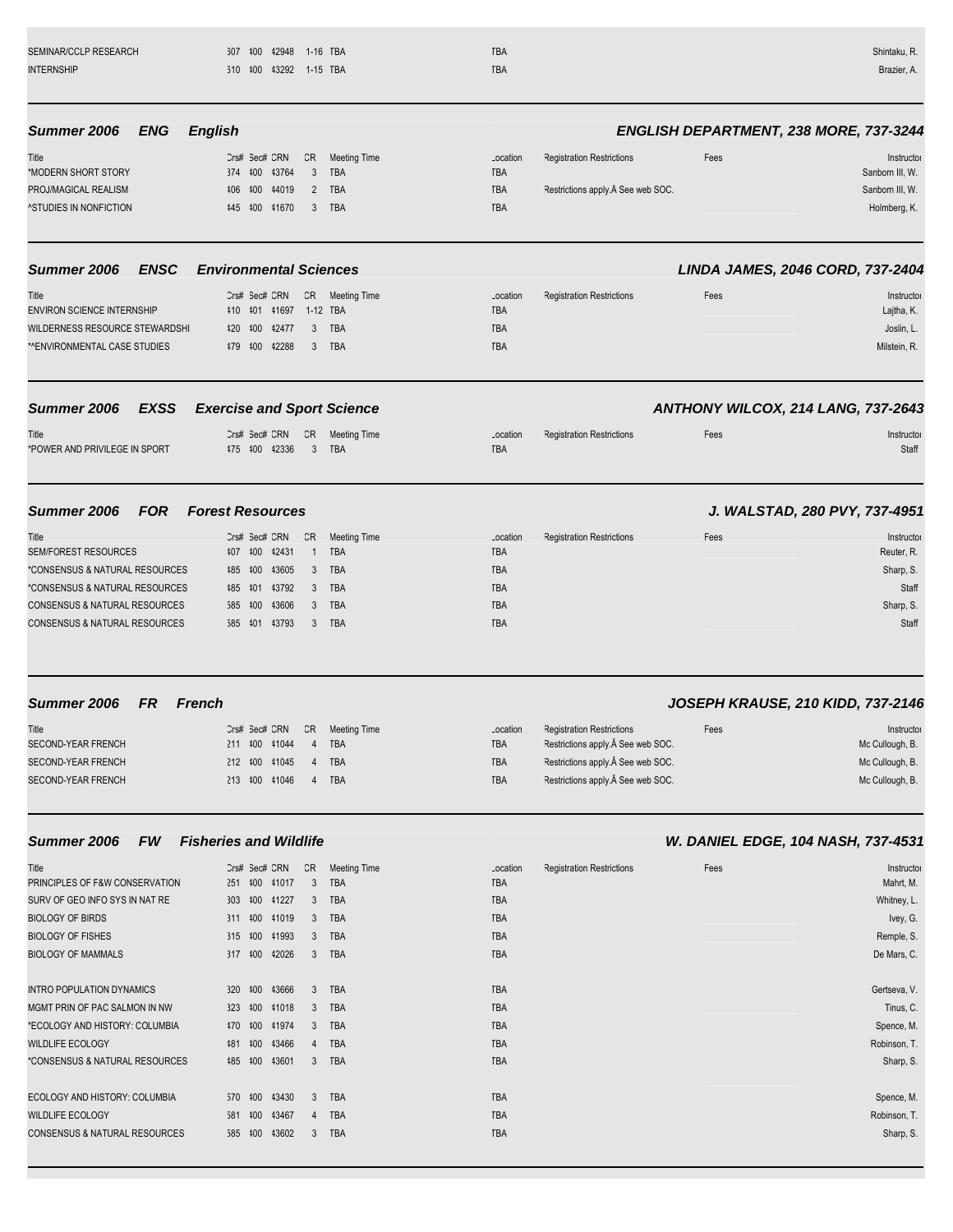| SEMINAR/CCLP RESEARCH             | 307 400<br>42948                  | 1-16 TBA            | TBA        |                                  |      | Shintaku, R.                                  |
|-----------------------------------|-----------------------------------|---------------------|------------|----------------------------------|------|-----------------------------------------------|
| <b>INTERNSHIP</b>                 | 610 100 13292 1-15 TBA            |                     | <b>TBA</b> |                                  |      | Brazier, A.                                   |
| Summer 2006<br>ENG                | <b>English</b>                    |                     |            |                                  |      | <b>ENGLISH DEPARTMENT, 238 MORE, 737-3244</b> |
| Title                             | CR<br>Crs# Sec# CRN               | <b>Meeting Time</b> | Location   | <b>Registration Restrictions</b> | Fees | Instructor                                    |
| *MODERN SHORT STORY               | 374 400 43764<br>3                | TBA                 | TBA        |                                  |      | Sanborn III, W.                               |
| PROJ/MAGICAL REALISM              | 100 44019<br>406<br>2             | TBA                 | TBA        | Restrictions apply. See web SOC. |      | Sanborn III, W.                               |
| <b>^STUDIES IN NONFICTION</b>     | 445 400 41670<br>3                | <b>TBA</b>          | <b>TBA</b> |                                  |      | Holmberg, K.                                  |
| <b>ENSC</b><br>Summer 2006        | <b>Environmental Sciences</b>     |                     |            |                                  |      | LINDA JAMES, 2046 CORD, 737-2404              |
| Title                             | Crs# Sec# CRN<br>CR               | <b>Meeting Time</b> | Location   | <b>Registration Restrictions</b> | Fees | Instructor                                    |
| <b>ENVIRON SCIENCE INTERNSHIP</b> | 410 401 41697                     | 1-12 TBA            | TBA        |                                  |      | Lajtha, K.                                    |
| WILDERNESS RESOURCE STEWARDSHI    | 420 400<br>42477<br>3             | TBA                 | <b>TBA</b> |                                  |      | Joslin, L.                                    |
| *^ENVIRONMENTAL CASE STUDIES      | 479 400<br>42288<br>3             | TBA                 | <b>TBA</b> |                                  |      | Milstein, R.                                  |
| <b>EXSS</b><br>Summer 2006        | <b>Exercise and Sport Science</b> |                     |            |                                  |      | ANTHONY WILCOX, 214 LANG, 737-2643            |
| Title                             | Crs# Sec# CRN<br>CR               | Meeting Time        | Location   | <b>Registration Restrictions</b> | Fees | Instructor                                    |
| *POWER AND PRIVILEGE IN SPORT     | 475 400 42336<br>$\mathbf{3}$     | <b>TBA</b>          | <b>TBA</b> |                                  |      | Staff                                         |
| Summer 2006<br><b>FOR</b>         | <b>Forest Resources</b>           |                     |            |                                  |      | J. WALSTAD, 280 PVY, 737-4951                 |
| Title                             | CR<br>Crs# Sec# CRN               | <b>Meeting Time</b> | Location   | <b>Registration Restrictions</b> | Fees | Instructor                                    |
| <b>SEM/FOREST RESOURCES</b>       | 42431<br>407 400<br>$\mathbf{1}$  | TBA                 | TBA        |                                  |      | Reuter, R.                                    |
| *CONSENSUS & NATURAL RESOURCES    | 43605<br>485 400<br>3             | TBA                 | <b>TBA</b> |                                  |      | Sharp, S.                                     |
| *CONSENSUS & NATURAL RESOURCES    | 43792<br>485 401<br>3             | TBA                 | TBA        |                                  |      | Staff                                         |
| CONSENSUS & NATURAL RESOURCES     | 43606<br>585 400<br>3             | TBA                 | TBA        |                                  |      | Sharp, S.                                     |
| CONSENSUS & NATURAL RESOURCES     | 585 101 13793<br>3                | TBA                 | <b>TBA</b> |                                  |      | Staff                                         |
| Summer 2006<br>FR.                | <b>French</b>                     |                     |            |                                  |      | JOSEPH KRAUSE, 210 KIDD, 737-2146             |
| Title                             | Crs# Sec# CRN<br>CR               | Meeting Time        | Location   | <b>Registration Restrictions</b> | Fees | Instructor                                    |
| SECOND-YEAR FRENCH                | 211 400 41044                     | 4 TBA               | TBA        | Restrictions apply. See web SOC. |      | Mc Cullough, B.                               |
| SECOND-YEAR FRENCH                | 212 100 41045<br>4                | TBA                 | TBA        | Restrictions apply. See web SOC. |      | Mc Cullough, B.                               |
| <b>SECOND-YEAR FRENCH</b>         | 213 400 41046<br>4                | TBA                 | TBA        | Restrictions apply. See web SOC. |      | Mc Cullough, B.                               |
| Summer 2006<br><b>FW</b>          | <b>Fisheries and Wildlife</b>     |                     |            |                                  |      | W. DANIEL EDGE, 104 NASH, 737-4531            |
| Title                             | Crs# Sec# CRN<br>CR               | <b>Meeting Time</b> | Location   | <b>Registration Restrictions</b> | Fees | Instructor                                    |
| PRINCIPLES OF F&W CONSERVATION    | 3<br>251 400 41017                | TBA                 | TBA        |                                  |      | Mahrt, M.                                     |
| SURV OF GEO INFO SYS IN NAT RE    | 303 400 41227<br>$\mathbf{3}$     | TBA                 | TBA        |                                  |      | Whitney, L.                                   |
| <b>BIOLOGY OF BIRDS</b>           | 311 400 41019<br>3                | <b>TBA</b>          | TBA        |                                  |      | Ivey, G.                                      |
| <b>BIOLOGY OF FISHES</b>          | 315 400 41993<br>3                | TBA                 | TBA        |                                  |      | Remple, S.                                    |
| <b>BIOLOGY OF MAMMALS</b>         | 317 400 42026<br>3 <sup>1</sup>   | TBA                 | TBA        |                                  |      | De Mars, C.                                   |
| INTRO POPULATION DYNAMICS         | 320 400 43666<br>3                | TBA                 | TBA        |                                  |      | Gertseva, V.                                  |
| MGMT PRIN OF PAC SALMON IN NW     | 323 400 41018<br>3                | TBA                 | TBA        |                                  |      | Tinus, C.                                     |
| *ECOLOGY AND HISTORY: COLUMBIA    | 470 400 41974<br>3                | TBA                 | TBA        |                                  |      | Spence, M.                                    |
| WILDLIFE ECOLOGY                  | 481 400 43466<br>4                | TBA                 | TBA        |                                  |      | Robinson, T.                                  |
| *CONSENSUS & NATURAL RESOURCES    | 485 400 43601                     | 3 TBA               | TBA        |                                  |      | Sharp, S.                                     |

ECOLOGY AND HISTORY: COLUMBIA 570 400 43430 3 TBA Spence, M. S. TBA Spence, M. S. TBA ECOLOGY AND HISTORY: COLUMBIA 570 400 43430 3 TBA TBA TBA<br>WILDLIFE ECOLOGY 581 400 43467 4 TBA TBA TBA TBA<br>CONSENSUS & NATURAL RESOURCES 585 400 43602 3 TBA TBA TBA CONSENSUS & NATURAL RESOURCES 585 400 43602 3 TBA Sharp, S. S. TBA Sharp, S. S. TBA

| Mahrt, M.    |
|--------------|
| Whitney, L.  |
| Ivey, G.     |
| Remple, S.   |
| De Mars, C.  |
|              |
| Gertseva, V. |
| Tinus, C.    |
| Spence, M.   |
| Robinson, T. |
| Sharp, S.    |
|              |
| Spence, M.   |
| Robinson, T. |
| Sharp, S.    |
|              |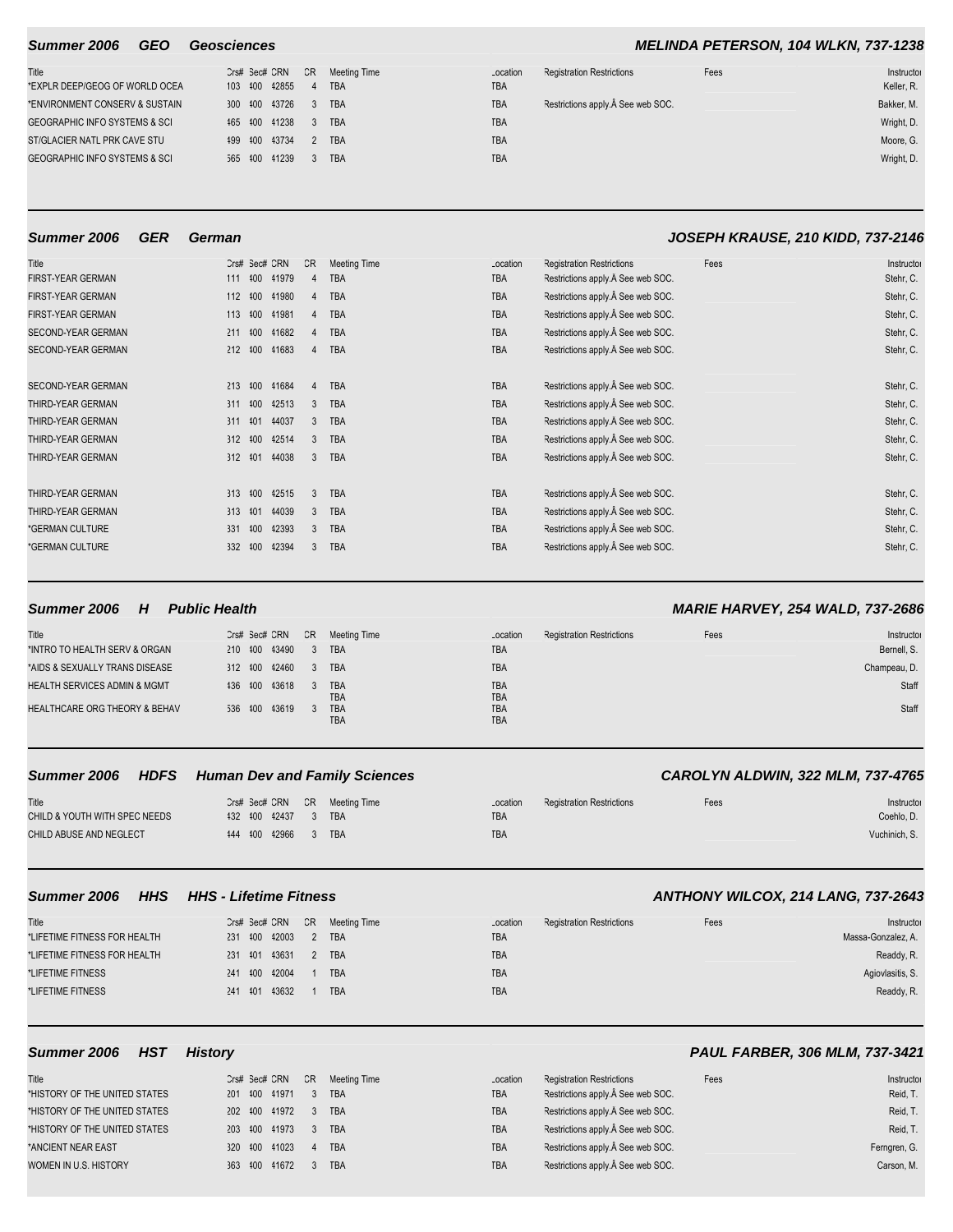| Title                                    |  | Crs# Sec# CRN | CR       | Meeting Time | Location   | <b>Registration Restrictions</b>   | Fees | Instructor |
|------------------------------------------|--|---------------|----------|--------------|------------|------------------------------------|------|------------|
| *EXPLR DEEP/GEOG OF WORLD OCEA           |  | 103 400 42855 | $\Delta$ | <b>TBA</b>   | <b>TBA</b> |                                    |      | Keller, R. |
| *ENVIRONMENT CONSERV & SUSTAIN           |  | 300 400 43726 | -3       | <b>TBA</b>   | TBA        | Restrictions apply. Â See web SOC. |      | Bakker, M. |
| <b>GEOGRAPHIC INFO SYSTEMS &amp; SCI</b> |  | 465 400 41238 | 3        | <b>TBA</b>   | TBA        |                                    |      | Wright, D. |
| ST/GLACIER NATL PRK CAVE STU             |  | 499 400 43734 |          | <b>TBA</b>   | TBA        |                                    |      | Moore, G.  |
| <b>GEOGRAPHIC INFO SYSTEMS &amp; SCI</b> |  | 565 400 41239 |          | <b>TBA</b>   | TBA        |                                    |      | Wright, D. |

### **Summer 2006 GEO Geosciences MELINDA PETERSON, 104 WLKN, 737-1238**

| cation<br>A | <b>Registration Restrictions</b> | Fees | Instructor |
|-------------|----------------------------------|------|------------|
|             |                                  |      | Keller, R. |
| A           | Restrictions apply. See web SOC. |      | Bakker, M. |
| A           |                                  |      | Wright, D. |
| A           |                                  |      | Moore, G.  |
| A           |                                  |      | Wright, D. |
|             |                                  |      |            |

### **Summer 2006 GER German JOSEPH KRAUSE, 210 KIDD, 737-2146**

| Title                     |         | Crs# Sec# CRN |               | CR             | <b>Meeting Time</b> | Location   | <b>Registration Restrictions</b> | Fees | Instructor |
|---------------------------|---------|---------------|---------------|----------------|---------------------|------------|----------------------------------|------|------------|
| FIRST-YEAR GERMAN         | 111     | 100           | 41979         | Δ              | <b>TBA</b>          | TBA        | Restrictions apply. See web SOC. |      | Stehr, C.  |
| <b>FIRST-YEAR GERMAN</b>  |         | 112 400       | 41980         | 4              | <b>TBA</b>          | <b>TBA</b> | Restrictions apply. See web SOC. |      | Stehr, C.  |
| <b>FIRST-YEAR GERMAN</b>  | 113     |               | 100 41981     | 4              | <b>TBA</b>          | <b>TBA</b> | Restrictions apply. See web SOC. |      | Stehr, C.  |
| <b>SECOND-YEAR GERMAN</b> | 211 100 |               | 41682         | 4              | <b>TBA</b>          | <b>TBA</b> | Restrictions apply. See web SOC. |      | Stehr, C.  |
| <b>SECOND-YEAR GERMAN</b> |         |               | 212 100 11683 | $\overline{4}$ | <b>TBA</b>          | <b>TBA</b> | Restrictions apply. See web SOC. |      | Stehr, C.  |
| <b>SECOND-YEAR GERMAN</b> | 213 400 |               | 41684         | 4              | <b>TBA</b>          | <b>TBA</b> | Restrictions apply. See web SOC. |      | Stehr, C.  |
| THIRD-YEAR GERMAN         | 311     | 400           | 42513         | 3              | <b>TBA</b>          | <b>TBA</b> | Restrictions apply. See web SOC. |      | Stehr, C.  |
| THIRD-YEAR GERMAN         | 311     | 401           | 44037         | 3              | <b>TBA</b>          | <b>TBA</b> | Restrictions apply. See web SOC. |      | Stehr, C.  |
| THIRD-YEAR GERMAN         | 312 100 |               | 42514         | 3              | <b>TBA</b>          | <b>TBA</b> | Restrictions apply. See web SOC. |      | Stehr, C.  |
| THIRD-YEAR GERMAN         | 312 401 |               | 44038         | 3              | <b>TBA</b>          | <b>TBA</b> | Restrictions apply. See web SOC. |      | Stehr, C.  |
| THIRD-YEAR GERMAN         | 313 400 |               | 42515         | 3              | <b>TBA</b>          | <b>TBA</b> | Restrictions apply. See web SOC. |      | Stehr, C.  |
| THIRD-YEAR GERMAN         | 313     | 401           | 44039         | 3              | <b>TBA</b>          | <b>TBA</b> | Restrictions apply. See web SOC. |      | Stehr, C.  |
| *GERMAN CULTURE           | 331     | 100           | 42393         | 3              | <b>TBA</b>          | <b>TBA</b> | Restrictions apply. See web SOC. |      | Stehr, C.  |
| *GERMAN CULTURE           | 332     | 400           | 42394         | 3              | <b>TBA</b>          | <b>TBA</b> | Restrictions apply. See web SOC. |      | Stehr, C.  |
|                           |         |               |               |                |                     |            |                                  |      |            |

# **Summer 2006 H Public Health MARIE HARVEY, 254 WALD, 737-2686**

| Title                                   | Crs# Sec# CRN CR Meeting Time |       |                          | <b>Registration Restrictions</b><br>Location | Fees | Instructor   |
|-----------------------------------------|-------------------------------|-------|--------------------------|----------------------------------------------|------|--------------|
| *INTRO TO HEALTH SERV & ORGAN           | 210 100 13490                 | 3 TBA |                          | TBA                                          |      | Bernell, S.  |
| *AIDS & SEXUALLY TRANS DISEASE          | 312 100 12460 3 TBA           |       |                          | TBA                                          |      | Champeau, D. |
| <b>HEALTH SERVICES ADMIN &amp; MGMT</b> | 436 400 43618 3 TBA           |       | TBA                      | TBA<br>TBA                                   |      | Staff        |
| HEALTHCARE ORG THEORY & BEHAV           | 536 400 43619                 |       | <b>TBA</b><br><b>TBA</b> | TBA<br>TBA                                   |      | Staff        |

|                               | Summer 2006 HDFS Human Dev and Family Sciences |                                              |      | CAROLYN ALDWIN, 322 MLM, 737-4765 |
|-------------------------------|------------------------------------------------|----------------------------------------------|------|-----------------------------------|
| Title                         | Crs# Sec# CRN CR Meeting Time                  | <b>Registration Restrictions</b><br>Location | Fees | Instructor                        |
| CHILD & YOUTH WITH SPEC NEEDS | 432 400 42437 3 TBA                            | TBA                                          |      | Coehlo, D.                        |
| CHILD ABUSE AND NEGLECT       | 444 400 42966 3 TBA                            | TBA                                          |      | Vuchinich, S.                     |

| <b>HHS</b><br><b>Summer 2006</b>      | <b>HHS - Lifetime Fitness</b>                              |                                                     | ANTHONY WILCOX, 214 LANG, 737-2643       |
|---------------------------------------|------------------------------------------------------------|-----------------------------------------------------|------------------------------------------|
| Title<br>*LIFETIME FITNESS FOR HEALTH | CR Meeting Time<br>Crs# Sec# CRN<br>231 400 42003<br>2 TBA | <b>Registration Restrictions</b><br>Location<br>TBA | Fees<br>Instructor<br>Massa-Gonzalez, A. |
| *LIFETIME FITNESS FOR HEALTH          | 231 101 43631<br>2 TBA                                     | TBA                                                 | Readdy, R.                               |
| *LIFETIME FITNESS                     | 241 400 42004<br><b>TBA</b>                                | TBA                                                 | Agiovlasitis, S.                         |
| *LIFETIME FITNESS                     | 43632<br><b>TBA</b><br>241 401                             | TBA                                                 | Readdy, R.                               |

### **Summer 2006 HST History PAUL FARBER, 306 MLM, 737-3421**

| Title                         | Crs# Sec# CRN CR Meeting Time |  | Location   | <b>Registration Restrictions</b> | Fees | Instructor   |
|-------------------------------|-------------------------------|--|------------|----------------------------------|------|--------------|
| *HISTORY OF THE UNITED STATES | 201 100 11971 3 TBA           |  | <b>TBA</b> | Restrictions apply. See web SOC. |      | Reid, T.     |
| *HISTORY OF THE UNITED STATES | 202 400 41972 3 TBA           |  | <b>TBA</b> | Restrictions apply. See web SOC. |      | Reid, T.     |
| *HISTORY OF THE UNITED STATES | 203 400 41973 3 TBA           |  | <b>TBA</b> | Restrictions apply. See web SOC. |      | Reid, T.     |
| *ANCIENT NEAR EAST            | 320 400 41023 4 TBA           |  | TBA        | Restrictions apply. See web SOC. |      | Ferngren, G. |
| WOMEN IN U.S. HISTORY         | 363 400 41672 3 TBA           |  | TBA        | Restrictions apply. See web SOC. |      | Carson, M.   |

| Title                         |  | Crs# Sec# CRN CR    | <b>Meeting Time</b> |
|-------------------------------|--|---------------------|---------------------|
| *HISTORY OF THE UNITED STATES |  | 201 400 41971 3     | <b>TBA</b>          |
| *HISTORY OF THE UNITED STATES |  | 202 400 41972 3 TBA |                     |
| *HISTORY OF THE UNITED STATES |  | 203 400 41973 3 TBA |                     |
| *ANCIENT NEAR EAST            |  | 320 400 41023 4 TBA |                     |
| WOMEN IN U.S. HISTORY         |  | 363 400 41672 3 TBA |                     |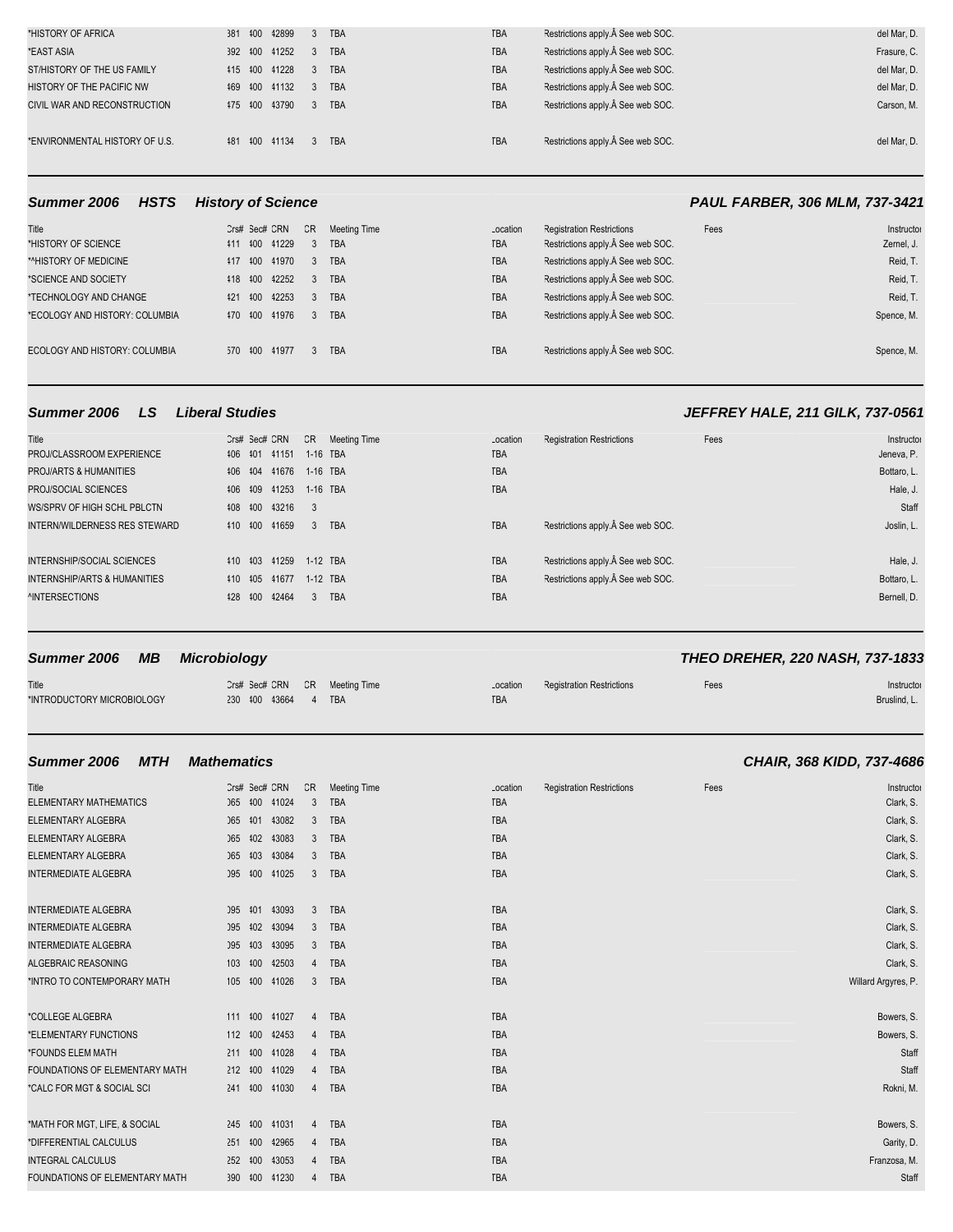| *HISTORY OF AFRICA             |  | 381 100 12899 |                | 3 TBA      | <b>TBA</b> | Restrictions apply. See web SOC. | del Mar, D. |
|--------------------------------|--|---------------|----------------|------------|------------|----------------------------------|-------------|
| *EAST ASIA                     |  | 392 100 11252 | $3^{\circ}$    | <b>TBA</b> | <b>TBA</b> | Restrictions apply. See web SOC. | Frasure, C. |
| ST/HISTORY OF THE US FAMILY    |  | 115 100 11228 | $\mathbf{3}$   | <b>TBA</b> | <b>TBA</b> | Restrictions apply. See web SOC. | del Mar. D. |
| HISTORY OF THE PACIFIC NW      |  | 169 100 11132 | 3 <sup>1</sup> | <b>TBA</b> | <b>TBA</b> | Restrictions apply. See web SOC. | del Mar. D. |
| CIVIL WAR AND RECONSTRUCTION   |  | 475 400 43790 | $\mathbf{3}$   | <b>TBA</b> | <b>TBA</b> | Restrictions apply. See web SOC. | Carson, M.  |
|                                |  |               |                |            |            |                                  |             |
| *ENVIRONMENTAL HISTORY OF U.S. |  | 481 400 41134 |                | 3 TBA      | <b>TBA</b> | Restrictions apply. See web SOC. | del Mar. D. |
|                                |  |               |                |            |            |                                  |             |

### **Summer 2006 HSTS History of Science <b>PAUL FARBER, 306 MLM, 737-3421**

| Title<br>*HISTORY OF SCIENCE<br>*^HISTORY OF MEDICINE<br>*SCIENCE AND SOCIETY             | Crs# Sec# CRN<br>411 400 41229<br>117 100 11970<br>118 100 12252 |           | CR<br>$\sim$ 3<br>$\mathbf{3}$ | Meeting Time<br><b>TBA</b><br>3 TBA<br><b>TBA</b> | Location<br><b>TBA</b><br><b>TBA</b><br><b>TBA</b> | <b>Registration Restrictions</b><br>Restrictions apply. See web SOC.<br>Restrictions apply. See web SOC.<br>Restrictions apply. Â See web SOC. | Fees | Instructor<br>Zernel, J.<br>Reid, T.<br>Reid, T. |
|-------------------------------------------------------------------------------------------|------------------------------------------------------------------|-----------|--------------------------------|---------------------------------------------------|----------------------------------------------------|------------------------------------------------------------------------------------------------------------------------------------------------|------|--------------------------------------------------|
| *TECHNOLOGY AND CHANGE<br>*ECOLOGY AND HISTORY: COLUMBIA<br>ECOLOGY AND HISTORY: COLUMBIA | 121<br>470 400 41976<br>570 400 41977                            | 400 42253 | $\mathbf{3}$<br>$\mathbf{3}$   | <b>TBA</b><br><b>TBA</b><br>3 TBA                 | <b>TBA</b><br><b>TBA</b><br><b>TBA</b>             | Restrictions apply. Â See web SOC.<br>Restrictions apply. See web SOC.<br>Restrictions apply. See web SOC.                                     |      | Reid, T.<br>Spence, M.<br>Spence, M.             |

| Title<br>PROJ/CLASSROOM EXPERIENCE<br>PROJ/ARTS & HUMANITIES<br>PROJ/SOCIAL SCIENCES<br>WS/SPRV OF HIGH SCHL PBLCTN<br><b>INTERN/WILDERNESS RES STEWARD</b> | 106 101<br>406 404<br>406 409<br>408 400<br>410 400 |                    | Crs# Sec# CRN<br>41151<br>41676<br>41253<br>43216<br>41659 | 1-16 TBA<br>1-16 TBA<br>1-16 TBA<br>$_{3}$<br>3 <sup>1</sup> | CR Meeting Time<br><b>TBA</b> | Location<br><b>TBA</b><br><b>TBA</b><br><b>TBA</b><br><b>TBA</b> | <b>Registration Restrictions</b><br>Restrictions apply. Â See web SOC.           | Fees | Instructor<br>Jeneva, P.<br>Bottaro, L.<br>Hale, J.<br>Staff<br>Joslin, L. |
|-------------------------------------------------------------------------------------------------------------------------------------------------------------|-----------------------------------------------------|--------------------|------------------------------------------------------------|--------------------------------------------------------------|-------------------------------|------------------------------------------------------------------|----------------------------------------------------------------------------------|------|----------------------------------------------------------------------------|
| <b>INTERNSHIP/SOCIAL SCIENCES</b><br><b>INTERNSHIP/ARTS &amp; HUMANITIES</b><br><b><i>NNTERSECTIONS</i></b>                                                 | 410 405                                             | 110 103<br>128 100 | 41259<br>41677<br>42464                                    | 1-12 TBA<br>1-12 TBA<br>$\mathbf{3}$                         | <b>TBA</b>                    | <b>TBA</b><br><b>TBA</b><br><b>TBA</b>                           | Restrictions apply. Â See web SOC.<br>Restrictions apply. $\hat{A}$ See web SOC. |      | Hale, J.<br>Bottaro, L.<br>Bernell, D.                                     |

| Summer 2006 MB                      | Microbiology        |  |                               |                        |                                  |      | <b>THEO DREHER, 220 NASH, 737-1833</b> |
|-------------------------------------|---------------------|--|-------------------------------|------------------------|----------------------------------|------|----------------------------------------|
| Title<br>*INTRODUCTORY MICROBIOLOGY | 230 100 13664 4 TBA |  | Crs# Sec# CRN CR Meeting Time | Location<br><b>TBA</b> | <b>Registration Restrictions</b> | Fees | Instructor<br>Bruslind, L.             |

| <b>MTH</b><br>Summer 2006      | <b>Mathematics</b>         |                |                     |                                              |      | CHAIR, 368 KIDD, 737-4686 |
|--------------------------------|----------------------------|----------------|---------------------|----------------------------------------------|------|---------------------------|
| Title                          | Crs# Sec# CRN              | CR             | <b>Meeting Time</b> | <b>Registration Restrictions</b><br>Location | Fees | Instructor                |
| <b>ELEMENTARY MATHEMATICS</b>  | 065 400<br>41024           | 3              | <b>TBA</b>          | <b>TBA</b>                                   |      | Clark, S.                 |
| ELEMENTARY ALGEBRA             | 065 101 13082              | 3              | TBA                 | <b>TBA</b>                                   |      | Clark, S.                 |
| ELEMENTARY ALGEBRA             | 065 402<br>43083           | 3              | <b>TBA</b>          | <b>TBA</b>                                   |      | Clark, S.                 |
| ELEMENTARY ALGEBRA             | 065 103<br>43084           | 3              | TBA                 | <b>TBA</b>                                   |      | Clark, S.                 |
| <b>INTERMEDIATE ALGEBRA</b>    | 095 400<br>41025           | 3              | TBA                 | TBA                                          |      | Clark, S.                 |
| <b>INTERMEDIATE ALGEBRA</b>    | 095 401<br>43093           | 3              | <b>TBA</b>          | <b>TBA</b>                                   |      | Clark, S.                 |
| <b>INTERMEDIATE ALGEBRA</b>    | 102<br>43094<br><b>J95</b> | 3              | <b>TBA</b>          | <b>TBA</b>                                   |      | Clark, S.                 |
| <b>INTERMEDIATE ALGEBRA</b>    | 095 403<br>43095           | 3              | TBA                 | <b>TBA</b>                                   |      | Clark, S.                 |
| <b>ALGEBRAIC REASONING</b>     | 103 400<br>42503           | $\overline{4}$ | TBA                 | <b>TBA</b>                                   |      | Clark, S.                 |
| *INTRO TO CONTEMPORARY MATH    | 105 100 11026              | 3              | <b>TBA</b>          | <b>TBA</b>                                   |      | Willard Argyres, P.       |
| *COLLEGE ALGEBRA               | 111 100<br>41027           | 4              | <b>TBA</b>          | <b>TBA</b>                                   |      | Bowers, S.                |
| *ELEMENTARY FUNCTIONS          | 112 100<br>42453           | 4              | TBA                 | <b>TBA</b>                                   |      | Bowers, S.                |
| *FOUNDS ELEM MATH              | 211 400<br>41028           | 4              | <b>TBA</b>          | <b>TBA</b>                                   |      | Staff                     |
| FOUNDATIONS OF ELEMENTARY MATH | 212 400<br>41029           | 4              | <b>TBA</b>          | <b>TBA</b>                                   |      | Staff                     |
| *CALC FOR MGT & SOCIAL SCI     | 241 400 41030              | $\overline{4}$ | <b>TBA</b>          | <b>TBA</b>                                   |      | Rokni, M.                 |
| *MATH FOR MGT, LIFE, & SOCIAL  | 245 400 41031              | 4              | TBA                 | TBA                                          |      | Bowers, S.                |
| *DIFFERENTIAL CALCULUS         | 251 400<br>42965           | 4              | TBA                 | TBA                                          |      | Garity, D.                |
| <b>INTEGRAL CALCULUS</b>       | 252 400<br>43053           | 4              | TBA                 | <b>TBA</b>                                   |      | Franzosa, M.              |
| FOUNDATIONS OF ELEMENTARY MATH | 390 400 41230              | 4              | <b>TBA</b>          | <b>TBA</b>                                   |      | Staff                     |

# **Summer 2006 LS Liberal Studies JEFFREY HALE, 211 GILK, 737-0561**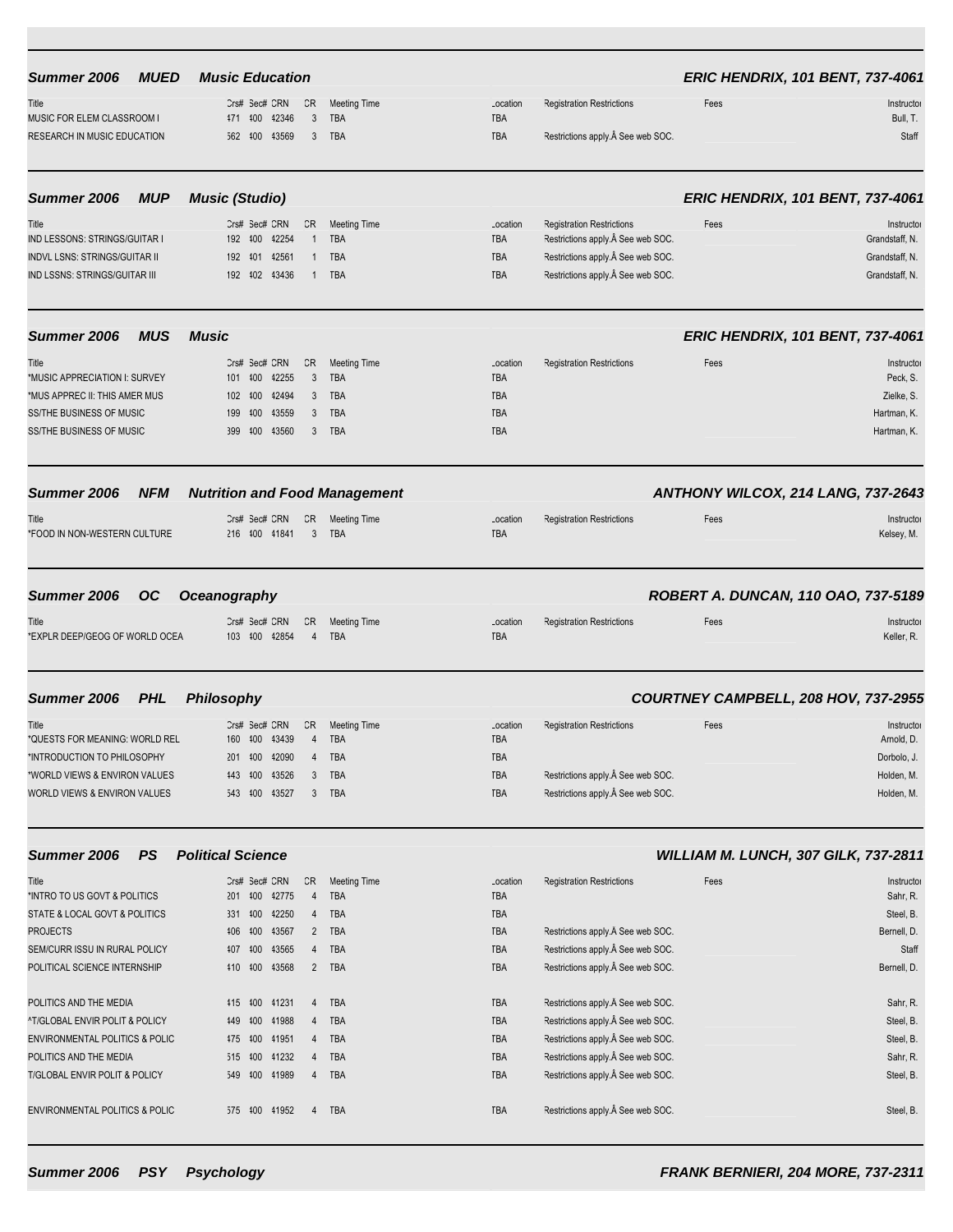| Summer 2006                               | <b>MUED</b> | <b>Music Education</b>   |         |               |                |                                      |            |                                   |      | <b>ERIC HENDRIX, 101 BENT, 737-4061</b> |
|-------------------------------------------|-------------|--------------------------|---------|---------------|----------------|--------------------------------------|------------|-----------------------------------|------|-----------------------------------------|
| Title                                     |             |                          |         | Crs# Sec# CRN | CR             | <b>Meeting Time</b>                  | Location   | <b>Registration Restrictions</b>  | Fees | Instructor                              |
| MUSIC FOR ELEM CLASSROOM I                |             |                          | 471 400 | 42346         | 3              | <b>TBA</b>                           | TBA        |                                   |      | Bull, T.                                |
| RESEARCH IN MUSIC EDUCATION               |             |                          | 562 100 | 43569         | 3              | <b>TBA</b>                           | TBA        | Restrictions apply. See web SOC.  |      | Staff                                   |
| Summer 2006                               | <b>MUP</b>  | <b>Music (Studio)</b>    |         |               |                |                                      |            |                                   |      | <b>ERIC HENDRIX, 101 BENT, 737-4061</b> |
| Title                                     |             |                          |         | Crs# Sec# CRN | CR             | <b>Meeting Time</b>                  | Location   | <b>Registration Restrictions</b>  | Fees | Instructor                              |
| IND LESSONS: STRINGS/GUITAR I             |             |                          |         | 192 100 12254 | $\mathbf{1}$   | <b>TBA</b>                           | TBA        | Restrictions apply.A See web SOC. |      | Grandstaff, N.                          |
| <b>INDVL LSNS: STRINGS/GUITAR II</b>      |             | 192                      | 401     | 42561         | $\mathbf{1}$   | <b>TBA</b>                           | TBA        | Restrictions apply. See web SOC.  |      | Grandstaff, N.                          |
| <b>IND LSSNS: STRINGS/GUITAR III</b>      |             |                          |         | 192 102 13436 | 1              | <b>TBA</b>                           | TBA        | Restrictions apply. See web SOC.  |      | Grandstaff, N.                          |
| Summer 2006                               | <b>MUS</b>  | <b>Music</b>             |         |               |                |                                      |            |                                   |      | <b>ERIC HENDRIX, 101 BENT, 737-4061</b> |
| Title                                     |             |                          |         | Crs# Sec# CRN | CR             | <b>Meeting Time</b>                  | Location   | <b>Registration Restrictions</b>  | Fees | Instructor                              |
| *MUSIC APPRECIATION I: SURVEY             |             |                          | 101 400 | 42255         | 3              | <b>TBA</b>                           | TBA        |                                   |      | Peck, S.                                |
| *MUS APPREC II: THIS AMER MUS             |             |                          | 102 400 | 42494         | 3              | <b>TBA</b>                           | TBA        |                                   |      | Zielke, S.                              |
| <b>SS/THE BUSINESS OF MUSIC</b>           |             | 199                      | 400     | 43559         | 3              | <b>TBA</b>                           | <b>TBA</b> |                                   |      | Hartman, K.                             |
| <b>SS/THE BUSINESS OF MUSIC</b>           |             |                          | 399 400 | 43560         | 3              | TBA                                  | TBA        |                                   |      | Hartman, K.                             |
| <b>Summer 2006</b>                        | <b>NFM</b>  |                          |         |               |                | <b>Nutrition and Food Management</b> |            |                                   |      | ANTHONY WILCOX, 214 LANG, 737-2643      |
| Title                                     |             |                          |         | Crs# Sec# CRN | CR             | <b>Meeting Time</b>                  | Location   | <b>Registration Restrictions</b>  | Fees | Instructor                              |
| *FOOD IN NON-WESTERN CULTURE              |             |                          |         | 216 100 11841 | 3              | <b>TBA</b>                           | TBA        |                                   |      | Kelsey, M.                              |
| Summer 2006                               | <b>OC</b>   | <b>Oceanography</b>      |         |               |                |                                      |            |                                   |      | ROBERT A. DUNCAN, 110 OAO, 737-5189     |
| Title                                     |             |                          |         | Crs# Sec# CRN | CR             | <b>Meeting Time</b>                  | Location   | <b>Registration Restrictions</b>  | Fees | Instructor                              |
| *EXPLR DEEP/GEOG OF WORLD OCEA            |             |                          |         | 103 100 42854 | $\overline{4}$ | <b>TBA</b>                           | TBA        |                                   |      | Keller, R.                              |
| Summer 2006                               | <b>PHL</b>  | <b>Philosophy</b>        |         |               |                |                                      |            |                                   |      | COURTNEY CAMPBELL, 208 HOV, 737-2955    |
| Title                                     |             |                          |         | Crs# Sec# CRN | CR             | <b>Meeting Time</b>                  | Location   | <b>Registration Restrictions</b>  | Fees | Instructor                              |
| *QUESTS FOR MEANING: WORLD REL            |             | 160                      | 400     | 43439         | 4              | TBA                                  | TBA        |                                   |      | Arnold, D.                              |
| *INTRODUCTION TO PHILOSOPHY               |             |                          |         | 201 100 12090 | 4              | TBA                                  | TBA        |                                   |      | Dorbolo, J.                             |
| *WORLD VIEWS & ENVIRON VALUES             |             |                          |         | 443 400 43526 | 3              | TBA                                  | TBA        | Restrictions apply. See web SOC.  |      | Holden, M.                              |
| WORLD VIEWS & ENVIRON VALUES              |             |                          |         | 543 400 43527 | 3              | <b>TBA</b>                           | TBA        | Restrictions apply. See web SOC.  |      | Holden, M.                              |
| Summer 2006                               | <b>PS</b>   | <b>Political Science</b> |         |               |                |                                      |            |                                   |      | WILLIAM M. LUNCH, 307 GILK, 737-2811    |
| Title                                     |             |                          |         | Crs# Sec# CRN | CR             | <b>Meeting Time</b>                  | Location   | <b>Registration Restrictions</b>  | Fees | Instructor                              |
| *INTRO TO US GOVT & POLITICS              |             |                          |         | 201 400 42775 | $\overline{4}$ | <b>TBA</b>                           | TBA        |                                   |      | Sahr, R.                                |
| STATE & LOCAL GOVT & POLITICS             |             |                          |         | 331 400 42250 | 4              | <b>TBA</b>                           | TBA        |                                   |      | Steel, B.                               |
| <b>PROJECTS</b>                           |             |                          | 406 400 | 43567         | $\overline{2}$ | TBA                                  | TBA        | Restrictions apply. See web SOC.  |      | Bernell, D.                             |
| SEM/CURR ISSU IN RURAL POLICY             |             |                          | 407 400 | 43565         | 4              | <b>TBA</b>                           | TBA        | Restrictions apply. See web SOC.  |      | Staff                                   |
| POLITICAL SCIENCE INTERNSHIP              |             |                          | 410 400 | 43568         | $2^{\circ}$    | TBA                                  | TBA        | Restrictions apply. See web SOC.  |      | Bernell, D.                             |
| POLITICS AND THE MEDIA                    |             |                          | 415 400 | 41231         | 4              | TBA                                  | TBA        | Restrictions apply. See web SOC.  |      | Sahr, R.                                |
| ^T/GLOBAL ENVIR POLIT & POLICY            |             |                          | 449 400 | 41988         | 4              | <b>TBA</b>                           | TBA        | Restrictions apply. See web SOC.  |      | Steel, B.                               |
| <b>ENVIRONMENTAL POLITICS &amp; POLIC</b> |             |                          | 475 400 | 41951         | 4              | TBA                                  | TBA        | Restrictions apply. See web SOC.  |      | Steel, B.                               |
| POLITICS AND THE MEDIA                    |             | 515                      | 400     | 41232         | 4              | <b>TBA</b>                           | TBA        | Restrictions apply. See web SOC.  |      | Sahr, R.                                |
| T/GLOBAL ENVIR POLIT & POLICY             |             |                          | 549 400 | 41989         | $\overline{4}$ | TBA                                  | TBA        | Restrictions apply. See web SOC.  |      | Steel, B.                               |
| ENVIRONMENTAL POLITICS & POLIC            |             |                          |         | 575 400 41952 | 4              | TBA                                  | TBA        | Restrictions apply. See web SOC.  |      | Steel, B.                               |
|                                           |             |                          |         |               |                |                                      |            |                                   |      |                                         |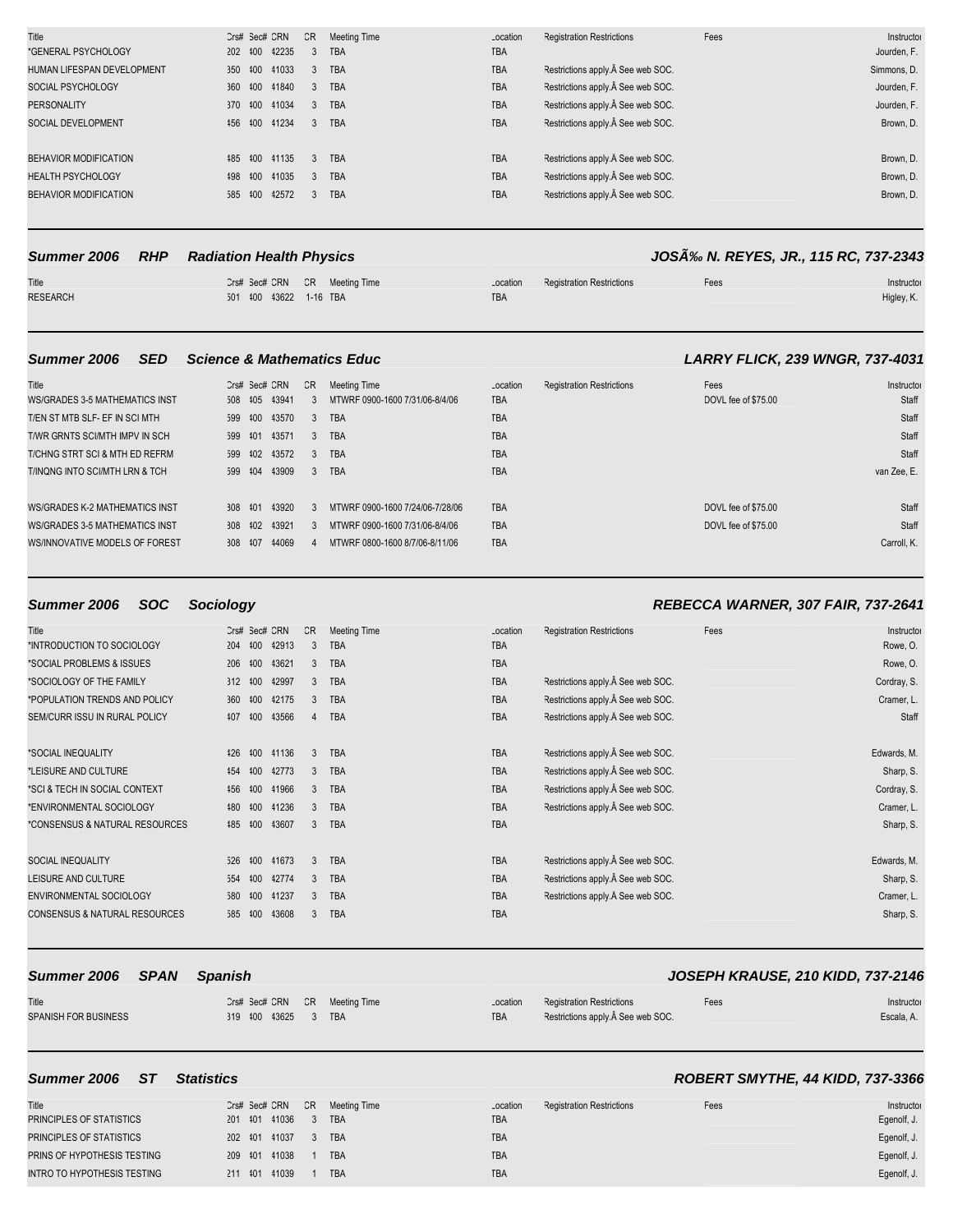| Title                      | Crs# Sec# CRN | CR            | <b>Meeting Time</b> | Location   | <b>Registration Restrictions</b> | Fees | Instructor  |
|----------------------------|---------------|---------------|---------------------|------------|----------------------------------|------|-------------|
| *GENERAL PSYCHOLOGY        | 202 400 42235 |               | <b>TBA</b>          | <b>TBA</b> |                                  |      | Jourden, F. |
| HUMAN LIFESPAN DEVELOPMENT | 350 400 41033 | $3^{\circ}$   | <b>TBA</b>          | <b>TBA</b> | Restrictions apply. See web SOC. |      | Simmons, D. |
| SOCIAL PSYCHOLOGY          | 360 400 41840 | 3             | <b>TBA</b>          | <b>TBA</b> | Restrictions apply. See web SOC. |      | Jourden, F. |
| <b>PERSONALITY</b>         | 370 400 41034 | 3             | <b>TBA</b>          | <b>TBA</b> | Restrictions apply. See web SOC. |      | Jourden, F. |
| SOCIAL DEVELOPMENT         | 156 100 11234 | 3             | <b>TBA</b>          | <b>TBA</b> | Restrictions apply. See web SOC. |      | Brown, D.   |
|                            |               |               |                     |            |                                  |      |             |
| BEHAVIOR MODIFICATION      | 485 400 41135 | $\mathcal{R}$ | <b>TBA</b>          | <b>TBA</b> | Restrictions apply. See web SOC. |      | Brown, D.   |
| <b>HEALTH PSYCHOLOGY</b>   | 198 100 11035 | 3             | <b>TBA</b>          | <b>TBA</b> | Restrictions apply. See web SOC. |      | Brown, D.   |
| BEHAVIOR MODIFICATION      | 585 400 42572 | 3             | <b>TBA</b>          | <b>TBA</b> | Restrictions apply. See web SOC. |      | Brown, D.   |
|                            |               |               |                     |            |                                  |      |             |

### Summer 2006 RHP Radiation Health Physics *JOSÁ% N. REYES, JR., 115 RC, 737-2343*

| Title           |                        | Crs# Sec# CRN CR Meeting Time |     | Location Registration Restrictions | -ees | Instructor |
|-----------------|------------------------|-------------------------------|-----|------------------------------------|------|------------|
| <b>RESEARCH</b> | 501 400 43622 1-16 TBA |                               | TBA |                                    |      | Higley, K. |

### **Summer 2006 SED Science & Mathematics Educ LARRY FLICK, 239 WNGR, 737-4031**

| Title                                 |         |     | Crs# Sec# CRN | CR           | Meeting Time                    | Location   | <b>Registration Restrictions</b> | Fees                | Instructor  |
|---------------------------------------|---------|-----|---------------|--------------|---------------------------------|------------|----------------------------------|---------------------|-------------|
| <b>WS/GRADES 3-5 MATHEMATICS INST</b> |         |     | 508 405 43941 |              | MTWRF 0900-1600 7/31/06-8/4/06  | <b>TBA</b> |                                  | DOVL fee of \$75.00 | Staff       |
| T/EN ST MTB SLF- EF IN SCI MTH        | 599 400 |     | 43570         | $\mathbf{3}$ | <b>TBA</b>                      | <b>TBA</b> |                                  |                     | Staff       |
| T/WR GRNTS SCI/MTH IMPV IN SCH        | 599 101 |     | 43571         | 3            | <b>TBA</b>                      | <b>TBA</b> |                                  |                     | Staff       |
| T/CHNG STRT SCI & MTH ED REFRM        | 599 402 |     | 43572         | 3            | <b>TBA</b>                      | <b>TBA</b> |                                  |                     | Staff       |
| T/INQNG INTO SCI/MTH LRN & TCH        | 599 404 |     | 43909         | $\mathbf{3}$ | <b>TBA</b>                      | <b>TBA</b> |                                  |                     | van Zee, E. |
|                                       |         |     |               |              |                                 |            |                                  |                     |             |
| <b>WS/GRADES K-2 MATHEMATICS INST</b> | 308 101 |     | 43920         | 3            | MTWRF 0900-1600 7/24/06-7/28/06 | <b>TBA</b> |                                  | DOVL fee of \$75.00 | Staff       |
| <b>WS/GRADES 3-5 MATHEMATICS INST</b> | 308 402 |     | 43921         | $\mathbf{3}$ | MTWRF 0900-1600 7/31/06-8/4/06  | <b>TBA</b> |                                  | DOVL fee of \$75.00 | Staff       |
| WS/INNOVATIVE MODELS OF FOREST        | 308     | 107 | 44069         |              | MTWRF 0800-1600 8/7/06-8/11/06  | <b>TBA</b> |                                  |                     | Carroll, K. |
|                                       |         |     |               |              |                                 |            |                                  |                     |             |

### **Summer 2006 SOC Sociology REBECCA WARNER, 307 FAIR, 737-2641**

| Title<br>*INTRODUCTION TO SOCIOLOGY      | Crs# Sec# CRN<br>204 | 400 | 42913         | CR<br>3 | <b>Meeting Time</b><br><b>TBA</b> | Location<br><b>TBA</b> | <b>Registration Restrictions</b> | Fees | Instructor<br>Rowe, O. |
|------------------------------------------|----------------------|-----|---------------|---------|-----------------------------------|------------------------|----------------------------------|------|------------------------|
| *SOCIAL PROBLEMS & ISSUES                | 206                  | 400 | 43621         | 3       | <b>TBA</b>                        | <b>TBA</b>             |                                  |      | Rowe, O.               |
| *SOCIOLOGY OF THE FAMILY                 | 312                  | 400 | 42997         | 3       | <b>TBA</b>                        | <b>TBA</b>             | Restrictions apply. See web SOC. |      | Cordray, S.            |
| *POPULATION TRENDS AND POLICY            | 360                  |     | 100 42175     | 3       | <b>TBA</b>                        | <b>TBA</b>             | Restrictions apply. See web SOC. |      | Cramer, L.             |
| SEM/CURR ISSU IN RURAL POLICY            | 407                  | 100 | 43566         | 4       | <b>TBA</b>                        | <b>TBA</b>             | Restrictions apply. See web SOC. |      | Staff                  |
| *SOCIAL INEQUALITY                       | 426                  |     | 100 41136     | 3       | <b>TBA</b>                        | <b>TBA</b>             | Restrictions apply. See web SOC. |      | Edwards, M.            |
| *LEISURE AND CULTURE                     | 454                  | 400 | 42773         | 3       | <b>TBA</b>                        | <b>TBA</b>             | Restrictions apply. See web SOC. |      | Sharp, S.              |
| *SCI & TECH IN SOCIAL CONTEXT            | 456                  | 400 | 41966         | 3       | <b>TBA</b>                        | <b>TBA</b>             | Restrictions apply. See web SOC. |      | Cordray, S.            |
| *ENVIRONMENTAL SOCIOLOGY                 |                      |     | 180 100 11236 | 3       | <b>TBA</b>                        | <b>TBA</b>             | Restrictions apply. See web SOC. |      | Cramer, L.             |
| *CONSENSUS & NATURAL RESOURCES           | 185 100              |     | 43607         | 3       | <b>TBA</b>                        | <b>TBA</b>             |                                  |      | Sharp, S.              |
| SOCIAL INEQUALITY                        | 526                  | 100 | 41673         | 3       | <b>TBA</b>                        | <b>TBA</b>             | Restrictions apply. See web SOC. |      | Edwards, M.            |
| LEISURE AND CULTURE                      | 554                  | 100 | 42774         | 3       | <b>TBA</b>                        | <b>TBA</b>             | Restrictions apply. See web SOC. |      | Sharp, S.              |
| ENVIRONMENTAL SOCIOLOGY                  | 580                  |     | 100 41237     | 3       | <b>TBA</b>                        | <b>TBA</b>             | Restrictions apply. See web SOC. |      | Cramer, L.             |
| <b>CONSENSUS &amp; NATURAL RESOURCES</b> | 585                  | 400 | 43608         | 3       | <b>TBA</b>                        | <b>TBA</b>             |                                  |      | Sharp, S.              |

| Summer 2006 SPAN     | Spanish                       |  |          |                                  |      | <b>JOSEPH KRAUSE, 210 KIDD, 737-2146</b> |
|----------------------|-------------------------------|--|----------|----------------------------------|------|------------------------------------------|
| Title                | Crs# Sec# CRN CR Meeting Time |  | Location | <b>Registration Restrictions</b> | Fees | Instructor                               |
| SPANISH FOR BUSINESS | 319 400 43625 3 TBA           |  | TBA      | Restrictions apply. See web SOC. |      | Escala, A.                               |

## **Summer 2006 ST Statistics ROBERT SMYTHE, 44 KIDD, 737-3366**

### Title Crs# Sec# CRN CR Meeting Time Location Registration Restrictions Fees Fees Instructor Instructor Crs# Sec# CRN CR<br>Instructor 201 101 11036 3 TBA TBA TBA TBA TBA PRINCIPLES OF STATISTICS 201 401 41036 3 TBA EGENOLFIES OF STATISTICS PRINCIPLES OF STATISTICS 202 401 41037 3 TBA TBA Egenolf, J. PRINS OF HYPOTHESIS TESTING 209 401 41038 1 TBA TBA Egenolf, J. INTRO TO HYPOTHESIS TESTING 211 401 41039 1 TBA TBA Egenolf, J.